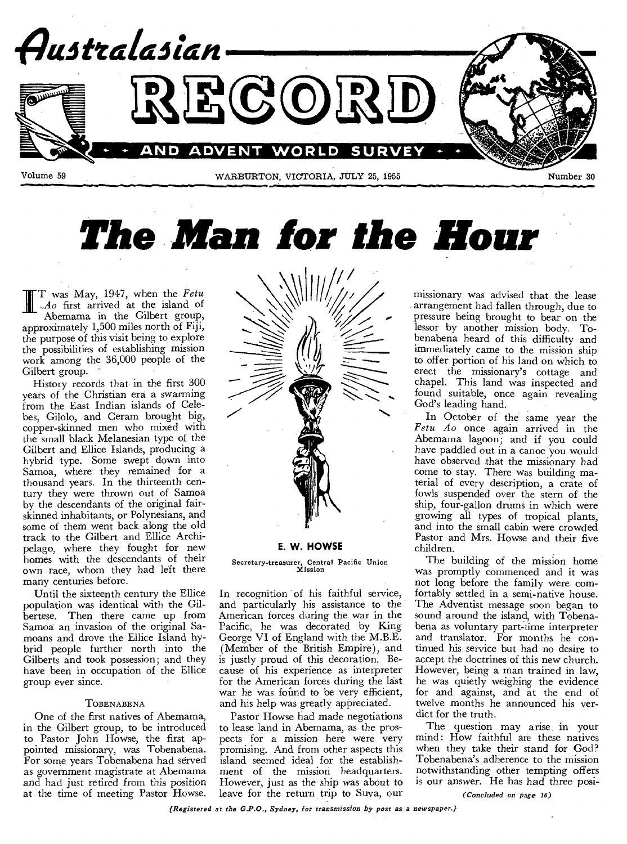

*The Man for the Hour* 

ffi T was May, 1947, when the *\ N\411 /11,/ Fetu ,Ao* first arrived at the island of Abemama in the Gilbert group, approximately 1,500 miles north of Fiji, the purpose of this visit being to explore the possibilities of establishing mission work among the 36,000 people of the Gilbert group.

History records that in the first 300 years of the Christian era a swarming from the East Indian islands of Celebes, Gilolo, and Ceram brought big, copper-skinned men who mixed with the small black Melanesian type of the Gilbert and Ellice Islands, producing a hybrid type. Some swept down into Samoa, where they remained for a thousand years. In the thirteenth century they were thrown out of Samoa by the descendants of the original fairskinned inhabitants, or Polynesians, and some of them went back along the old track to the Gilbert and Ellice Archipelago, where they fought for new homes with the descendants of their own race, whom they had left there many centuries before.

Until the sixteenth century the Ellice population was identical with the Gilbertese. Then there came up from Samoa an invasion of the, original Samoans and drove the Ellice Island hybrid people further north into the Gilberts and took possession; and they have been in occupation of the Ellice group ever since.

#### TOBENABENA

One of the first natives of Abemama, in the Gilbert group, to be introduced to Pastor John Howse, the first appointed missionary, was Tobenabena. For some years Tobenabena had served as government magistrate at Abemama and had just retired from this position at the time of meeting Pastor Howse.



### **E. W. HOWSE**

Secretary-treasurer, Central Pacific Union Mission

In recognition of his faithful service, and particularly his assistance to the American forces during the war in the Pacific, he was decorated by King George VI of England with the M.B.E. (Member of the British Empire), and is justly proud of this decoration. Because of his experience as interpreter for the American forces during the last war he was found to be very efficient, and his help was greatly appreciated.

Pastor Howse had made negotiations to lease land in Abemama, as the prospects for a mission here were very promising. And from other aspects this island seemed ideal for the establishment of the mission headquarters. However, just as the ship was about to leave for the return trip to Suva, our

missionary was advised that the lease arrangement had fallen through, due to pressure being brought to bear on the lessor by another mission body. Tobenabena heard of this difficulty and immediately came to the mission ship to offer portion of his land on which to erect the missionary's cottage and chapel. This land was inspected and found suitable, once again revealing God's leading hand.

In October of the same year the *Fetu Ao* once again arrived in the Abemama lagoon; and if you could have paddled out in a canoe you would have observed that the missionary had come to stay. There was building material of every description, a crate of fowls suspended over the stern of the ship, four-gallon drums in which were growing all types of tropical plants, and into the small cabin were crowded Pastor and Mrs. Howse and their five children.

The building of the mission home was promptly commenced and it was not long before the family were comfortably settled in a semi-native house. The Adventist message soon began to sound around the island, with Tobenabena as voluntary part-time interpreter and translator. For months he continued his service but had no desire to accept the doctrines of this new church. However, being a man trained in law, he was quietly weighing the evidence for and against, and at the end of twelve months he announced his verdict for the truth.

The question may arise, in your mind: How faithful are these natives when they take their stand for God? Tobenabena's adherence to the mission notwithstanding other tempting offers is our answer. He has had three posi-

*(Concluded on page 16)* 

*(Registered at the G.P.O., Sydney, for transmission by post as a newspaper.)*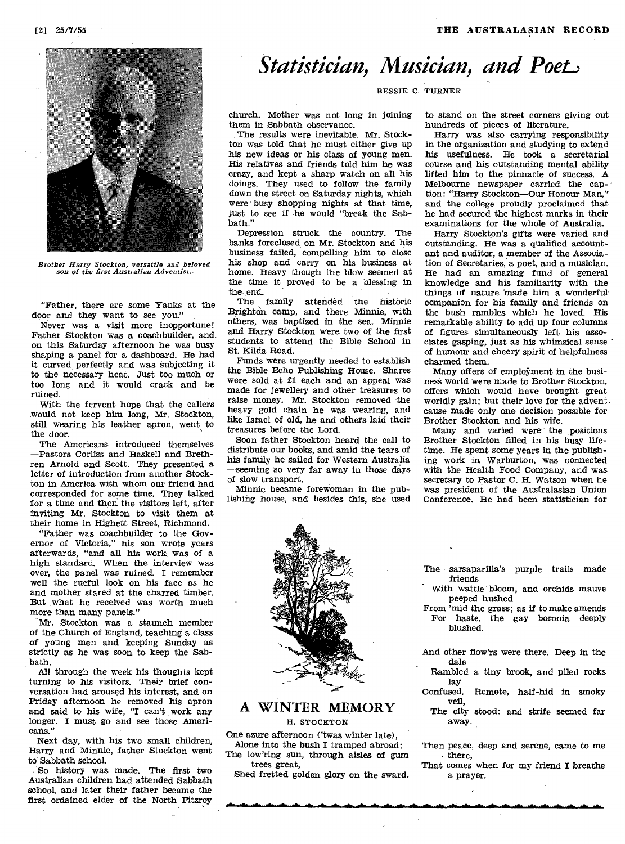# *Statistician, Musician, and Poet.,*



*Brother Harry Stockton, versatile and beloved son of the first Australian Adventist.* 

"Father, there are some Yanks at the door and they want to see you."

Never was a visit more inopportune! Father Stockton was a coachbuilder, and on this Saturday afternoon he was busy shaping a panel for a dashboard. He had it curved perfectly and was subjecting it to the necessary heat. Just too much or too long and it would crack and be ruined.

With the fervent hope that the callers would not keep him long, Mr. Stockton, still wearing his leather apron, went to the door.

The Americans introduced themselves —Pastors Corliss and Haskell and Brethren Arnold and Scott. They presented a letter of introduction from another Stockton in America with whom our friend had corresponded for some time. They talked for a time and then the visitors left, after inviting Mr. Stockton to visit them at their home in Highett Street, Richmond.

"Father was coachbuilder to the Governor of Victoria," his son wrote years afterwards, "and all his work was of a high standard. When the interview was over, the panel was ruined. I remember well the rueful look on his face as he and mother stared at the charred timber. But what he received was worth much more than many panels."

Mr. Stockton was a staunch member of the Church of England, teaching a class of young men and keeping Sunday as strictly as he was soon to keep the Sabbath.

All through the week his thoughts kept turning to his visitors. Their brief conversation had aroused his interest, and on Friday afternoon he removed his apron and said to his wife, "I can't work any longer. I must go and *see* those Americans."

Next day, with his two small children, Harry and Minnie, father Stockton went to Sabbath school.

So history was made. The first two Australian children had attended Sabbath school, and later their father became the first ordained elder of the North Fitzroy

BESSIE C. TURNER

church. Mother was not long in joining them in Sabbath observance.

The results were inevitable. Mr. Stockton was told that he must either give up his new ideas or his class of young men. His relatives and friends told him he was crazy, and kept a sharp watch on all his doings. They used to follow the family down the street on Saturday nights, which were busy shopping nights at that time, just to see if he would "break the Sabbath."

Depression struck the country. The banks foreclosed on Mr. Stockton and his business failed, compelling him to close his shop and carry on his business at home. Heavy though the blow seemed at the time it proved to be a blessing in the end.

The family attended the historic Brighton camp, and there Minnie, with others, was baptized in the sea. Minnie and Harry Stockton Were two of the first students to attend the Bible School in St. Kilda Road.

Funds were urgently needed to establish the Bible Echo Publishing House. Shares were sold at £1 each and an appeal was made for jewellery and other treasures to raise money. Mr. Stockton removed the heavy gold chain he was wearing, and like Israel of old, he and others laid their treasures before the Lord.

Soon father Stockton heard the call to distribute our books, and amid the tears of his family he sailed for Western Australia —seeming so very far away in those days of slow transport.

Minnie became forewoman in the publishing house, and besides this, she used



#### **A WINTER MEMORY**  H. STOCKTON

One azure afternoon ('twas winter late), Alone into the bush **I** tramped abroad;

The low'ring sun, through aisles of gum trees great,

Shed fretted golden glory on the sward.

to stand on the street corners giving out hundreds of pieces of literature.

Harry was also carrying responsibility in the organization and studying to extend his usefulness. He took a secretarial course and his outstanding mental ability lifted him to the pinnacle of success. A Melbourne newspaper carried the cap- • tion: "Harry Stockton—Our Honour Man," and the college proudly proclaimed that he had secured the highest marks in their examinations for the whole of Australia.

Harry Stockton's gifts were varied- and outstanding. He was a qualified accountant and auditor, a member of the Association of Secretaries, a poet, and a musician. He had an amazing fund of general knowledge and his familiarity with the things of nature 'made him a wonderful companion for his family and friends on the bush rambles which he loved. His remarkable ability to add up four columns of figures simultaneously left his associates gasping, just as his whimsical sense ' of humour and cheery spirit of helpfulness charmed them.

Many offers of employment in the business world were made to Brother Stockton, offers which would have brought great worldly gain; but their love for the advent cause made only one decision possible for Brother Stockton and his wife.

Many and varied were-the positions Brother Stockton filled in his busy lifetime. He spent some years in the publishing work in Warburton, was connected with the Health Food Company, and was secretary to Pastor C. H. Watson when he was president of the Australasian Union Conference. He had been statistician for

The • sarsaparilla's purple trails made friends

With wattle bloom, and orchids mauve peeped hushed

From 'mid the grass; as if to make amends For haste, the gay boronia deeply blushed.

And other flow'rs were there. Deep in the dale

Rambled a tiny brook, and piled rocks lay<br>Confused.

Remote, half-hid in smoky veil,

The city stood: and strife seemed far away.

Then peace, deep and serene, came to me there,

That comes when for my friend I breathe a prayer.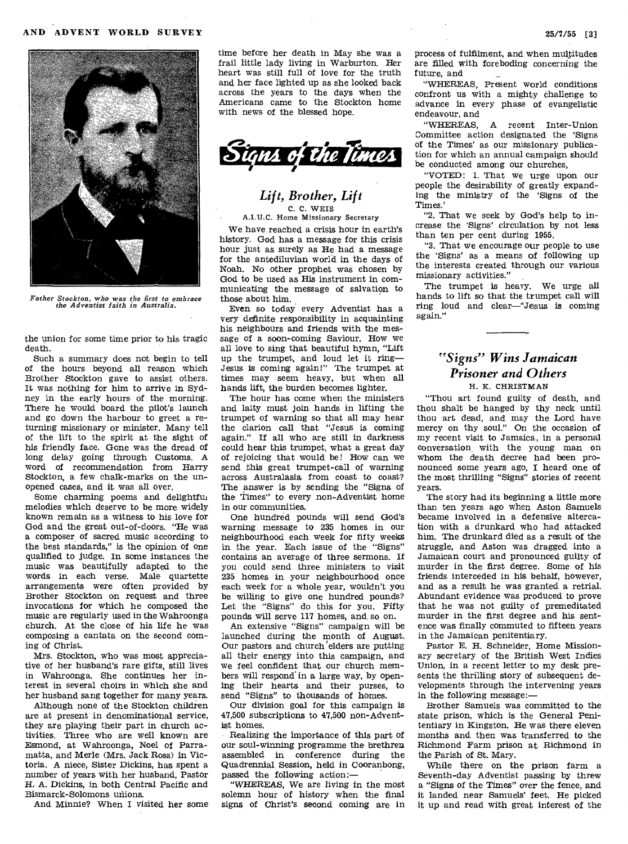

*Father Stockton, who was the first to embrace the Adventist faith in Australia.* 

the union for some time prior to his tragic death.

Such a summary does not begin to tell of the hours beyond all reason which Brother Stockton gave to assist others. It was nothing for him to arrive in Sydney in the early hours of the morning. There he would board the pilot's launch and go down the harbour to greet a returning missionary or minister. Many tell of the lift to the spirit at the sight of his friendly face. Gone was the dread of long delay going through Customs. A word of recommendation from Harry Stockton, a few chalk-marks on the unopened cases, and it was all over.

Some charming poems and delightful melodies which deserve to be more widely known remain as a witness to his love for God and the great out-of-doors. "He was a composer of sacred music according to the best standards," is the opinion of one qualified to judge. In some instances the music was beautifully adapted to the words in each verse. Male quartette arrangements were often provided by Brother Stockton on request and three invocations for which he composed the music are regularly used in the Wahroonga church. At the close of his life he was composing a cantata on the second coming of Christ.

Mrs. Stockton, who was most appreciative of her husband's rare gifts, still lives in Wahroonga. She continues her interest in several choirs in which she and her husband sang together for many years.

Although none of the Stockton children are at present in denominational service, they are playing their part in church activities. Three who are well known are Esmond, at Wahroonga, Noel of Parramatta, and Merle (Mrs. Jack Ross) in Victoria. A niece, Sister Dickins, has spent a number of years with her husband, Pastor *H.* A. Dickins, in both Central Pacific and Bismarck-Solomons unions.

And Minnie? When I visited her some

time before her death in May she was a frail little lady living in Warburton. Her heart was still full of love for the truth and her face lighted up as she looked back across the years to the days when the Americans came to the Stockton home with news of the blessed hope.



#### *Lift, Brother, Lift*  C. C. WEIS A.I.U.C. Home Missionary Secretary

We have reached a crisis hour in earth's history. God has a message for this crisis hour just as surely as He had a message for the antediluvian world in the days of Noah. No other prophet was chosen by God to be used as His instrument in communicating the message of salvation to those about him.

Even so today every Adventist has a very definite responsibility in acquainting his neighbours and friends with the message of a soon-coming Saviour. How we all love to sing that beautiful hymn, "Lift up the trumpet, and loud let it ring— Jesus is coming again!" The trumpet at times may seem heavy, but when all hands lift, the burden becomes lighter.

The hour has come when the ministers and laity must join hands in lifting the trumpet of warning so that all may hear the clarion call that "Jesus is coming again." If all who are still in darkness could hear this trumpet, what a great day of rejoicing that would be! How can we send this great trumpet-call of warning across Australasia from coast to coast? The answer is by sending the "Signs of the Times" to every non-Adventist home in our communities.

One hundred pounds will send God's warning message to 235 homes in our neighbourhood each week for fifty weeks in the year. Each issue of the "Signs" contains an average of three sermons. If you could send three ministers to visit 235 homes in your neighbourhood once each week for a whole year, wouldn't you be willing to give one hundred pounds? Let the "Signs" do this for you. Fifty pounds will serve 117 homes, and, so on.

An extensive "Signs" campaign will be launched during the month of August. Our pastors and church elders are putting all their energy into this campaign, and we feel confident that our church members will respond'in a large way, by opening their hearts and their purses, to send "Signs" to thousands of homes.

Our division goal for this campaign is 47,500 subscriptions to 47,500 non-Adventist homes.

Realizing the importance of this part of our soul-winning programme the brethren assembled in, conference during the Quadrennial Session, held in Cooranbong, passed the following action:—

"WHEREAS, We are living in the most solemn hour of history when the final signs of Christ's second coming are in process of fulfilment, and when multitudes are filled with foreboding concerning the future, and

"WHEREAS, Present world conditions confront us with a mighty challenge to advance in every phase of evangelistic endeavour, and

"WHEREAS, A recent Inter-Union Committee action designated the 'Signs of the Times' as our missionary publication for which an annual campaign should be conducted among our churches,

"VOTED: 1. That we urge upon our people the desirability of greatly expanding the ministry of the 'Signs of the Times.'

"2. That we seek by God's help to increase the 'Signs' circulation by not less than ten per cent during 1955.

"3. That we encourage our people to use the 'Signs' as a means of following up the interests created through our various missionary activities."

The trumpet is heavy. We urge all hands to lift so that the trumpet call will ring loud and clear—"Jesus is coming again,"

## *"Signs" Wins Jamaican Prisoner and Others*  H. K. CHRISTMAN

"Thou art found guilty of death, and thou shalt be hanged by thy neck until thou art dead, and may the Lord have mercy on thy soul." On the occasion of my recent visit to Jamaica, in a personal conversation, with the young man on whom the death decree had been pronounced some years ago, I heard one of the most thrilling "Signs" stories of recent years.

The story had its beginning a little more than ten years ago when Aston Samuels became involved in a defensive altercation with a drunkard who had attacked him. The drunkard died as a result of the struggle, and Aston was dragged into a Jamaican court and pronounced guilty of murder in the first degree. Some of his friends interceded in his behalf, however, and as a result he was granted a retrial. Abundant evidence was produced to prove that he was not guilty of premeditated murder in the first degree and his sentence was finally commuted to fifteen years in the Jamaican penitentiary.

Pastor E. H. Schneider, Home Missionary secretary of the British West Indies Union, in a recent letter to my desk presents the thrilling story of subsequent developments through the intervening years in the following message:—

Brother Samuels was committed to the state prison, which is the General Penitentiary in Kingston. He was there eleven months and then was transferred to the Richmond Farm prison at Richmond in the Parish of St. Mary.

While there on the prison farm a Seventh-day Adventist passing by threw a "Signs of the Times" over the fence, and it landed near Samuels' feet. He picked it up and read with great interest of the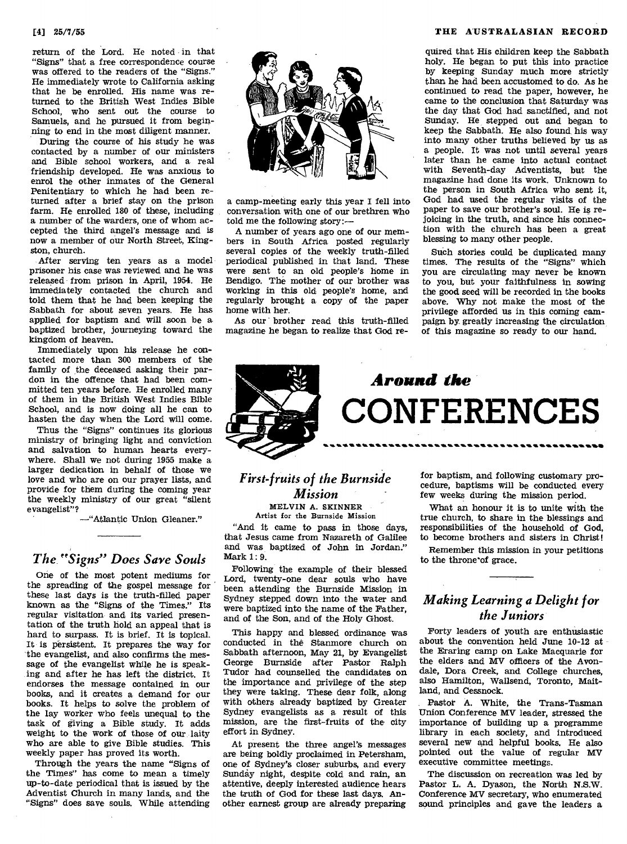return of the Lord. He noted in that "Signs" that a free correspondence course was offered to the readers of the "Signs." He immediately wrote to California asking that he be enrolled. His name was returned to the British West Indies Bible School, who sent out the course to Samuels, and he pursued it from beginning to end in the most diligent manner.

During the course of his study he was contacted by a number of our ministers and Bible school workers, and a real friendship developed. He was anxious to enrol the other inmates of the General Penitentiary to which he had been returned after a brief stay on the prison farm. He enrolled 180 of these, including a number of the warders, one of whom accepted the third angel's message and is now a member of our North Street, Kingston, church.

After serving ten years as a model prisoner his case was reviewed and he was released from prison in April, 1954. He immediately contacted the church and told them that he had been keeping the Sabbath for about seven years. He has applied for baptism and will soon be a baptized brother, journeying toward the kingdom of heaven.

Immediately upon his release he contacted more than 300 members of the family of the deceased asking their pardon in the offence that had been committed ten years before. He enrolled many of them in the British West Indies Bible School, and is now doing all he can to hasten the day when the Lord will come.

Thus the "Signs" continues its glorious ministry of bringing light and conviction and salvation to human hearts everywhere. Shall we not during 1955 make a larger dedication in behalf of those we love and who are on our prayer lists, and provide for them during the coming year the weekly ministry of our great "silent evangelist"?

—"Atlantic Union Gleaner."

## *The. "Signs" Does Save Souls*

One of the most potent mediums for the spreading of the gospel message for these last days is the truth-filled paper known as the "Signs of the Times." Its regular visitation- and its varied presentation of the truth hold an appeal that is hard to surpass. It is brief. It is topical. It is persistent. It prepares the way for the evangelist, and also confirms the message of the evangelist while he is speaking and after he has left the district. It endorses the message contained in our books, and it creates a demand for our books. It helps to solve the problem of the lay worker who feels unequal to the task of giving a Bible study. It adds weight to the work of those of our laity who are able to give Bible studies. This weekly paper has proved its worth.

Through the years the name "Signs of the Times" has come to mean a timely up-to-date periodical that is issued by the Adventist Church in many lands, and the "Signs" does save souls. While attending



a camp-meeting early this year I fell into conversation with one of our brethren who told me the following story:—

A number of years ago one of our members in South Africa posted regularly several copies of the weekly truth-filled periodical published in that land. These were sent to an old people's home in Bendigo. The mother of our brother was working in this old people's home, and regularly brought a copy of the paper home with her.

As our brother read this truth-filled magazine he began to realize that God re-

#### [4] 25/7/55 **THE AUSTRALASIAN RECORD**

quired that His children keep the Sabbath holy. He began to put this into practice by keeping Sunday much more strictly than he had been accustomed to do. As he continued to read the paper, however, he came to the conclusion that Saturday was the day that God had sanctified, and not Sunday. He stepped out and began to keep the Sabbath. He also found, his way into many other truths believed by us as a people. It was not until several years later than he came into actual contact with Seventh-day Adventists, but the magazine had done its work. Unknown to the person in South Africa who sent it, God had used the regular visits of the paper to save our brother's soul. He is rejoicing in the truth, and since his connection with the church has been a great blessing to many other people.

Sueh stories could be duplicated many times. The results of the "Signs" which you are circulating may never be known to you, but your faithfulness in sowing the good seed will be recorded in the books above. Why not make the most of the privilege afforded us in this coming campaign by. greatly increasing the circulation of this magazine so ready to our hand.



## *First-fruits of the Burnside Mission*  MELVIN A. SKINNER

Artist for the Burnside Mission

"And it came to pass in those days, that Jesus came from Nazareth of Galilee and was baptized of John in Jordan." Mark 1: 9.

Following the example of their blessed Lord, twenty-one dear souls who have been attending the Burnside Mission in Sydney stepped down into the water and were baptized into the name of the Father, and of the Son, and of the Holy Ghost.

This happy and blessed ordinance was conducted in the Stanmore church on Sabbath afternoon, May 21, by Evangelist George Burnside after Pastor Ralph Tudor had counselled the candidates on the importance and privilege of the step they were taking. These dear folk, along with others already baptized by Greater Sydney evangelists as a result of this mission, are the first-fruits of the city effort in Sydney.

At present the three angel's messages are being boldly proclaimed in Petersham, one of Sydney's closer suburbs, and every Sunday night, despite cold and rain, an attentive, deeply interested audience hears the truth of God for these last days. Another earnest group are already preparing

for baptism, and following customary procedure, baptisms will be conducted every few weeks during the mission period.

What an honour it is to unite with the true church, to share in the blessings and responsibilities of the household of God, to become brothers and sisters in Christ!

Remember this mission in your petitions to the throne'of grace.

## *Making Learning a Delight for the Juniors.*

Forty leaders of youth are enthusiastic about the convention held June 10-12 at the Eraring camp on Lake Macquarie for the elders and MV officers of the Avondale, Dora Creek, and College churches, also Hamilton, Wallsend, Toronto, Maitland, and Cessnock.

Pastor A. White, the Trans-Tasman Union Conference MV leader, stressed the importance of building up a programme library in each society, and introduced several new and helpful books. He also pointed out the value of regular MV executive committee meetings.

The discussion on recreation was led by Pastor L. A. Dyason, the North N.S.W. Conference MV secretary, who enumerated sound principles and gave the leaders a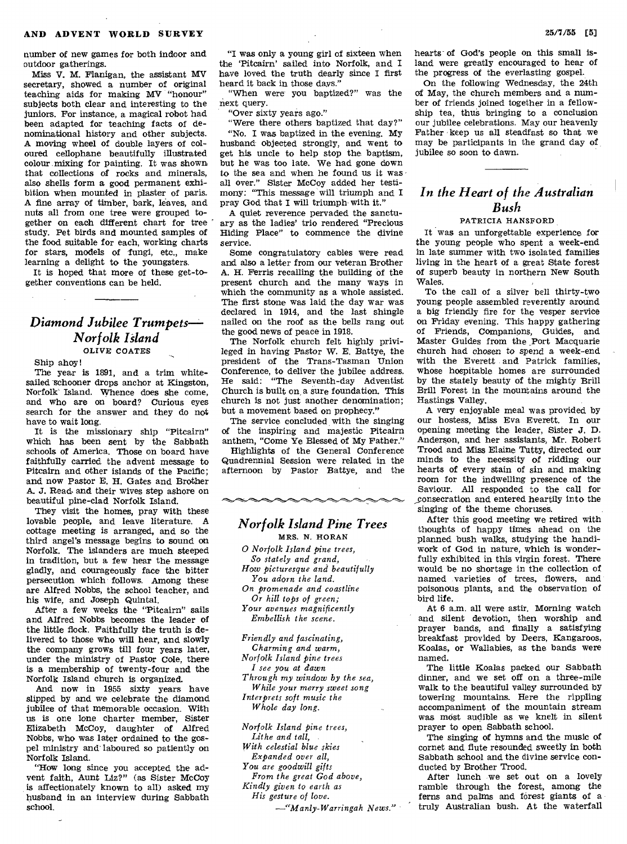number of new games for both indoor and outdoor gatherings.

Miss V. M. Flanigan, the assistant MV secretary, showed a number of original teaching aids for making MV "honour" subjects both clear and interesting to the juniors. For instance, a magical robot had been adapted for teaching facts of denominational history and other subjects. A moving wheel of double layers of coloured cellophane beautifully illustrated colour mixing for painting. It was shown that collections of rocks and minerals, also shells form a good permanent exhibition when mounted in plaster of paris. A fine array of timber, bark, leaves, and nuts all from one tree were grouped together on each different chart for tree study. Pet birds and mounted samples of the food suitable for each, working charts for stars, models of fungi, etc., make learning a delight to the youngsters.

It is hoped that more of these get-together conventions can be held.

## *Diamond Jubilee Trumpets— Norfolk Island*  OLIVE COATES

Ship ahoy!

The year is 1891, and a trim whitesailed schooner drops anchor at Kingston, Norfolk Island. Whence does she come, and who are on board? Curious eyes search for the answer and they do not have to wait long.

It is the missionary ship "Pitcairn" which has been sent by the Sabbath schools of America. Those on board have faithfully carried the advent message to Pitcairn and other islands of the Pacific; and now Pastor E. H. Gates and Brother A. J. Read. and their wives step ashore on beautiful pine-clad Norfolk Island.

They visit the homes, pray with these lovable people, and leave literature. A cottage meeting is arranged, and so the third angel's message begins to sound on Norfolk. The islanders are much steeped in tradition, but a few hear the message gladly, and courageously face the bitter persecution which follows. Among these are Alfred Nobbs, the school teacher, and his wife, and Joseph Quintal.

After a few weeks the "Pitcairn" sails and Alfred Nobbs becomes the leader of the little flock. Faithfully the truth is delivered to those who will hear, and slowly the company grows till four years later, under the ministry of Pastor Cole, there is a membership of twenty-four and the Norfolk Island church is organized.

And now in 1955 sixty years have slipped by and we celebrate the diamond jubilee of that memorable occasion. With us is one lone charter member, Sister Elizabeth McCoy, daughter of Alfred Nobbs, who was later ordained to the gospel ministry and' laboured so patiently on Norfolk Island.

"How long since you accepted the advent faith, Aunt Liz?" (as Sister McCoy is affectionately known to all) asked my husband in an interview during Sabbath school.

"I was only a young girl of sixteen when the 'Pitcairn' sailed into Norfolk, and I have loved the truth dearly since I first heard it back in those days."

"When were you baptized?" was the next query.

"Over sixty years ago."

"Were there others baptized that day?"

"No. I was baptized in the evening. My husband objected strongly, and went to get his uncle to help stop the baptism, but he was too late. We had gone down to the sea and when he found us it was all over." Sister McCoy added her testimony: "This message will triumph and I pray God that I will triumph with it."

A quiet reverence pervaded the sanctuary as the ladies' trio rendered "Precious Hiding Place" to commence the divine service.

Some congratulatory cables were read and also a letter from our veteran Brother A. H. Ferris recalling the building of the present church and the many ways in which the community as a whole assisted. The first stone was laid the day war was declared in 1914, and the last shingle nailed on the roof as the bells rang out the good news of peace in 1918.

The Norfolk church felt highly privileged in having Pastor W. E. Battye, the president of the Trans-Tasman Union Conference, to deliver the jubilee address. He said: "The Seventh-day Adventist Church is built on, a sure foundation. This church is not just another denomination; but a movement based on prophecy."

The service concluded with the singing of the inspiring and majestic Pitcairn anthem, "Come Ye Blessed of My Father."

Highlights of the General Conference Quadrennial Session were related in the afternoon by Pastor Battye, and the

## *Norfolk Island Pine Trees*

MRS. N. HORAN *O Norfolk Island pine trees, So stately and grand, How picturesque and beautifully You adorn the land. On promenade and coastline Or hill tops of green; Your avenues magnificently Embellish the scene.* 

*Friendly and fascinating, Charming and warm, Norfolk Island pine trees I see you at dawn Through my window by the sea, While your merry sweet song Interprets soft music the Whole day long.* 

*Norfolk Island pine trees, Lithe and tall, With celestial blue skies Expanded over all, You are goodwill gifts From the great God above, Kindly given to earth as His gesture of love.* 

*—"Manly-Warringah News."* 

hearts of God's people on this small island were greatly encouraged to hear of the progress of the everlasting gospel.

On the following Wednesday, the 24th of May, the church members and a number of friends joined together in a fellowship tea, thus bringing to a conclusion our jubilee celebrations. May our heavenly Father keep us all steadfast so that we may be participants in the grand day of jubilee so soon to dawn.

## *In the Heart of the Australian Bush*

#### PATRICIA HANSFORD

It was an unforgettable experience for the young people who spent a week-end in late summer with two isolated families living in the heart of a great State forest of superb beauty in northern New South Wales.

To the call of a silver bell thirty-two young people assembled reverently around a big friendly fire for the vesper service on Friday evening. This happy gathering of Friends, Companions, Guides, and Master Guides from the Port Macquarie church had chosen to spend a week-end with the Everett and Patrick families, whose hospitable homes are surrounded by the stately beauty of the mighty Brill Brill Forest in the mountains around the Hastings Valley.

A very enjoyable meal was provided by our hostess, Miss Eva Everett. In our opening meeting the leader, Sister J. **D.**  Anderson, and her assistants, Mr. Robert Trood and Miss Elaine Tutty, directed our minds to the necessity of ridding our hearts of every stain of sin and making room for the indwelling presence of the Saviour. All responded to the call for consecration and entered heartily into the singing of the theme choruses.

After this good meeting we retired with thoughts of happy times ahead on the planned bush walks, studying the handiwork of God in nature, which is wonderfully exhibited in this virgin forest. There would be no shortage in the collection of named varieties of trees, flowers, and poisonous plants, and the observation of bird life.

At 6 a.m. all were astir. Morning watch and silent devotion, then worship and prayer bands, and finally a satisfying breakfast provided by Deers, Kangaroos, Koalas, or Wallabies, as the bands were named.

The little Koalas packed our Sabbath dinner, and we set off on a three-mile walk to the beautiful valley surrounded by towering mountains. Here the rippling accompaniment of the mountain stream was most audible as we knelt in silent prayer to open Sabbath school.

The singing of hymns and the music of cornet and flute resounded sweetly in both Sabbath school and the divine service conducted by Brother Trood.

After lunch we set out on a lovely ramble through the forest, among the ferns and palms and forest giants of a truly Australian bush. At the waterfall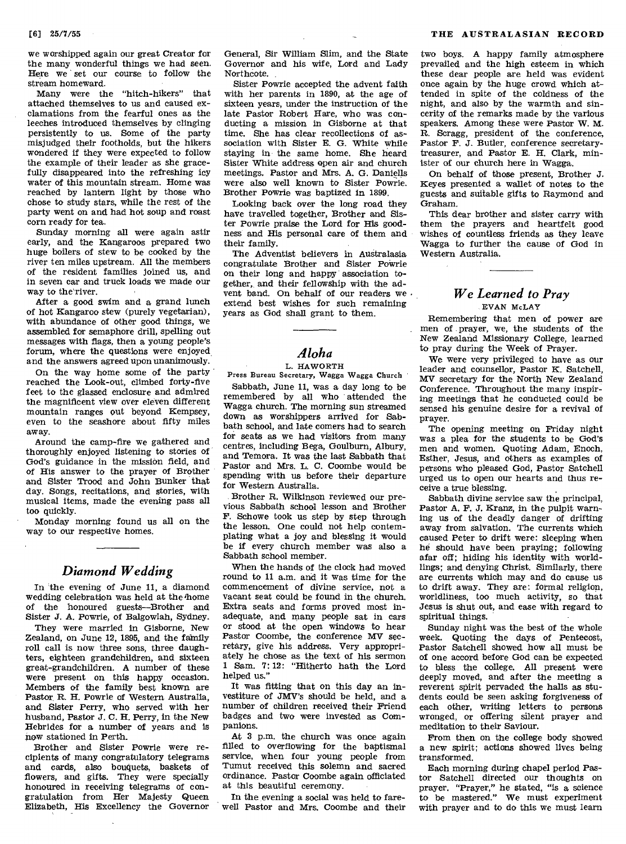we worshipped again our great Creator for the many wonderful things we had seen. Here we set our course to follow the stream homeward.

Many were the "hitch-hikers" that attached themselves to us and caused exclamations from the fearful ones as the leeches introduced themselves by clinging persistently to us. Some of the party misjudged their footholds, but the hikers wondered if they were expected to follow the example of their leader as she gracefully disappeared into the refreshing icy water of this mountain stream. Home was reached by lantern light by those who chose to study stars, while the rest of the party went on and had hot soup and roast corn ready for tea.

Sunday morning all were again astir early, and the Kangaroos prepared two huge boilers of stew to be cooked by the river ten miles upstream. All the members of the resident families joined us, and in seven car and truck loads we made our way to the river.

After a good swim and a grand lunch of hot Kangaroo stew (purely vegetarian), with abundance of other good things, we assembled for semaphore drill, spelling out messages with flags, then a young people's forum, where the questions were enjoyed and the answers agreed upon unanimously.

On the way home some of the party reached the Look-out, climbed forty-five feet to the glassed enclosure and admired the magnificent view over eleven different mountain ranges out beyond Kempsey, even to the seashore about fifty miles away.

Around the camp-fire we gathered and thoroughly enjoyed listening to stories of God's guidance in the mission field, and of His answer to the prayer of Brother and Sister Trood and John Bunker that day. Songs, recitations, and stories, with musical items, made the evening pass all too quickly.

Monday morning found us all on the way to our respective homes.

## *Diamond Wedding*

In the evening of June 11, a diamond wedding celebration was held at the home of the honoured guests—Brother and Sister J. A. Powrie, of Balgowlah, Sydney.

They were married in Gisborne, New Zealand, on June 12, 1895, and the fainily roll call is now three sons, three daughters, eighteen grandchildren, and sixteen great-grandchildren. A number of these were present on this happy occasion. Members of the family best known are Pastor R. H. Powrie of Western Australia, and Sister Perry, who served with her husband, Pastor J. C. H. Perry, in the New Hebrides for a number of years and is now stationed in Perth.

Brother and Sister Powrie were recipients of many congratulatory telegrams and cards, also bouquets, baskets of flowers, and gifts. They were specially honoured in receiving telegrams of congratulation from Her Majesty Queen Elizabeth, His Excellency the Governor

General, Sir William Slim, and the State Governor and his wife, Lord and Lady Northcote.

Sister Powrie accepted the advent faith with her parents in 1890, at the age of sixteen years, under the instruction of the late Pastor Robert Hare, who was conducting a mission in Gisborne at that time. She has clear recollections of association with Sister E. G. White while staying in the same home. She heard Sister White address open air and church meetings. Pastor and Mrs. A. G. Daniells were also well known to Sister Powrie. Brother Powrie was baptized in 1899.

Looking back over the long road they have travelled together, Brother and Sister Powrie praise the Lord for His goodness and His personal care of them and their family.

The Adventist believers in Australasia congratulate Brother and Sister Powrie on their long and happy' association together, and their fellowship with the advent band. On behalf of our readers we extend best wishes for such remaining years as God shall grant to them.

## *Aloha*

L. HAWORTH Press Bureau Secretary, Wagga Wagga Church

Sabbath, June 11, was a day long to be remembered by all who attended the Wagga church. The morning sun streamed down as worshippers arrived for Sabbath school, and late comers had to search for seats as we had visitors from many centres, including Bega, Goulburn, Albury, and Temora. It was the last Sabbath that Pastor and Mrs. L. C. Coombe would be spending with us before their departure for Western Australia.

Brother R. Wilkinson reviewed our previous Sabbath school lesson and Brother F. Schowe took us step by step through the lesson. One could not help contemplating what a joy and blessing it would be if every church member was also a Sabbath school member.

When the hands of the clock had moved round to 11 a.m. and it was time for the commencement of divine service, not a vacant seat could be found in the church. Extra seats and forms proved most inadequate, and many people sat in cars or stood at the open windows to hear Pastor Coombe, the conference MV secretary, give his address. Very appropriately he chose as the text of his sermon 1 Sam. 7: 12: "Hitherto hath the Lord helped us."

It was fitting that on this day an investiture of JMV's should be held, and a number of children received their Friend badges and two were invested as Companions.

At 3 p.m. the church was once again filled to overflowing for the baptismal service, when four young people from Tumut received this solemn and sacred ordinance. Pastor Coombe again officiated at this beautiful ceremony.

In the evening a social was held to farewell Pastor and Mrs. Coombe and their

two boys. A happy family atmosphere prevailed and the high esteem in which these dear people are held was evident once again by the huge crowd which attended in spite of the coldness of the night, and also by the warmth and sincerity of the remarks made by the various speakers. Among these were Pastor W. M. R. Scragg, president of the conference, Pastor F. J. Butler, conference secretarytreasurer, and Pastor E. H. Clark, minister of our church here in Wagga.

On behalf of those present, Brother J. Keyes presented a wallet of notes to the guests and suitable gifts to Raymond and Graham.

This dear brother and sister carry with them the prayers and heartfelt good wishes of countless friends as they leave Wagga to further the cause of God in Western Australia.

### *We Learned to Pray*  EVAN McLAY

Remembering that men of power are men of prayer, we, the students of the New Zealand Missionary College, learned to pray during the Week of Prayer.

We were very privileged to have as our leader and counsellor, Pastor K. Satchell, MV secretary for the North New Zealand Conference. Throughout the many inspiring meetings that he conducted could be sensed his genuine desire for a revival of prayer.

The opening meeting on Friday night was a plea for the students to be God's men and women. Quoting Adam, Enoch, Esther, Jesus, and others as examples of persons who pleased God, Pastor Satchell urged us to open our hearts and thus receive a true blessing.

Sabbath divine service saw the principal, Pastor A. F. J. Kranz, in the pulpit warning us of the deadly danger of drifting away from salvation. The currents which caused Peter to drift were: sleeping when he should have been praying; following afar off; hiding his identity with worldlings; and denying Christ. Similarly, there are currents which may and do cause us to drift away. They are: formal religion, worldliness, too much activity, so that Jesus is shut out, and ease with regard to spiritual things.

Sunday night was the best of the whole week. Quoting the days of Pentecost, Pastor Satchell showed how all must be of one accord before God can be expected to bless the college. All present were deeply moved, and after the meeting a reverent spirit pervaded the halls as students could be seen asking forgiveness of each other, writing letters to persons wronged, or offering silent prayer and meditation to their Saviour.

From then on the college body showed a new spirit; actions showed lives being transformed.

Each morning during chapel period Pastor Satchell directed our thoughts on prayer. "Prayer," he stated, "is a science to be mastered." We must experiment with prayer and to do this we must learn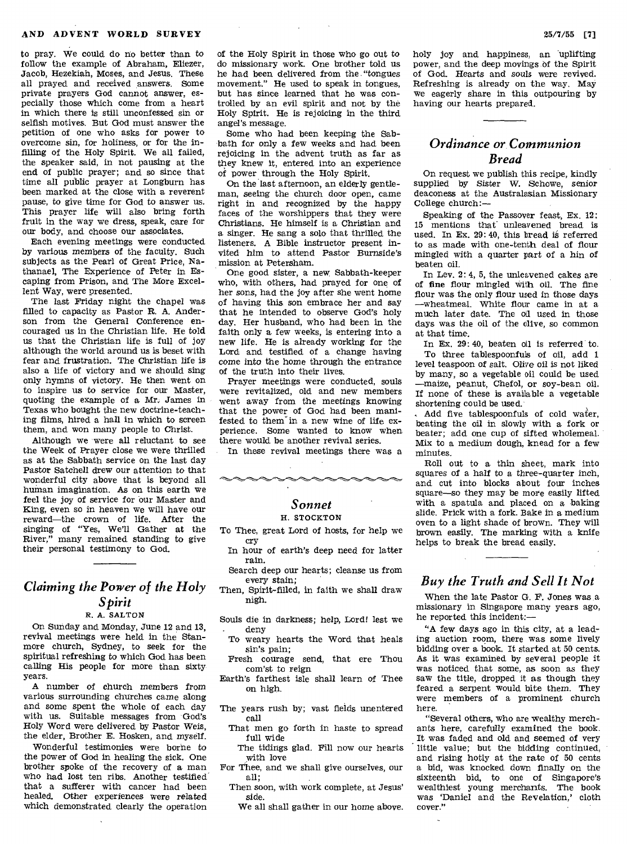to pray. We could do no better than to follow the example of Abraham, Eliezer, Jacob, Hezekiah, Moses, and Jesus. These all prayed and received answers. Some private prayers God cannot answer, especially those which come from a heart in which there is still unconfessed sin or selfish motives. But God must answer the petition of one who asks for power to overcome sin, for holiness, or for the infilling of the Holy Spirit. We all failed, the speaker said, in not pausing at the end of public prayer; and so since that time all public prayer at Longburn has been marked at the close with a reverent pause, to give time for God to answer us. This prayer life will also bring forth fruit in the way we dress, speak, care for our body, and choose our associates.

Each evening meetings were conducted by various members of the faculty. Such subjects as the Pearl of Great Price, Nathanael, The Experience of Peter in Escaping from Prison, and The More Excellent Way, were presented.

The last Friday night the chapel was filled to capacity as Pastor R. A. Anderson from the General Conference encouraged us in the Christian life. He told us that the Christian life is full of joy although the world around us is beset with fear and frustration. The Christian life is also a life of victory and we should sing only hymns of victory. He then went on to inspire us to service for our Master, quoting the example of a Mr, James in Texas who bought the new doctrine-teaching films, hired a hall in which to screen them, and won many people to Christ.

Although we were all reluctant to see the Week of Prayer close we were thrilled as at the Sabbath service on the last day Pastor Satchell drew our attention to that wonderful city above that is beyond all human imagination. As on this earth we feel the joy of service for our Master and King, even so in heaven we will have our reward—the crown of life. After the singing of "Yes, We'll Gather at the River," many remained standing to give their personal testimony to God.

## *Claiming the Power of the Holy Spirit*

#### R. A. SALTON

On Sunday and Monday, June 12 and 13, revival meetings were held in the Stanmore church, Sydney, to seek for the spiritual refreshing to which God has been calling His people for more than sixty years.

A number of church members from various surrounding churches came along and some spent the whole of each day with us. Suitable messages from God's Holy Word were delivered by Pastor Weis, the elder, Brother E. Hosken, and myself.

Wonderful testimonies were borne to the power of God in healing the sick. One brother spoke of the recovery of a man who had lost ten ribs. Another testified that a sufferer with cancer had been healed. Other experiences were related which demonstrated clearly the operation

of the Holy Spirit in those who go out to do missionary work. One brother told us he had been delivered from the "tongues movement." He used to speak in tongues, but has since learned that he was controlled by an evil spirit and not by the Holy Spirit. He is rejoicing in the third angel's message.

Some who had been keeping the Sabbath for only a few weeks and had been rejoicing in the advent truth as far as they knew it, entered into an experience of power through the Holy Spirit.

On the last afternoon, an elderly gentleman, seeing the church door open, came right in and recognized by the happy faces of the worshippers that they were Christians. He himself is a Christian and a singer. He sang a solo that thrilled the listeners. A Bible instructor present invited *him* to attend Pastor Burnside's mission at Petersham.

One good sister, a new Sabbath-keeper who, with others, had prayed for one of her sons, had the joy after she went home of having this son embrace her and say that he intended to observe God's holy day. Her husband, who had been in the faith only a few weeks, is entering into a new life. He is already working for the Lord and testified of a change having come into the home through the entrance of the truth into their lives.

Prayer meetings were conducted, souls were revitalized, old and new members went away from the meetings knowing that the power of God had been manifested to them' in a new wine of life experience. Some wanted to know when there would be another revival series.

In these revival meetings there was a

### *Sonnet*  H. STOCKTON

To Thee, great Lord of hosts, for help we cry

- In hour of earth's deep need for latter rain. Search deep our hearts; cleanse us from every stain;
- Then, Spirit-filled, in faith we shall draw nigh.
- Souls die in darkness; help, Lord! lest we deny
	- To weary hearts the Word that heals sin's pain;
- Fresh courage send, that ere Thou com'st to reign
- Earth's farthest isle shall learn of Thee on high.
- The years rush by; vast fields unentered call
	- That men go forth in haste to spread full wide
	- The tidings glad. Fill now our hearts with love
- For Thee, and we shall give ourselves, our all;
	- Then soon, with work complete, at Jesus' side.
		- We all shall gather in our home above.

holy joy and happiness, an uplifting power, and the deep movings of the Spirit of God. Hearts and *souls* were revived. Refreshing is already on the way. May we eagerly share in this outpouring by having our hearts prepared.

## *Ordinance or. Communion Bread*

On request we publish this recipe, kindly supplied by Sister W. Schowe, senior deaconess at the Australasian Missionary College church:—

Speaking of the Passover feast, Ex. 12: 15 mentions that unleavened bread is used. In Ex. 29: 40, this bread is referred to as made with one-tenth deal of flour mingled with a quarter part of a hin of beaten oil.

In Lev. 2: 4, 5, the unleavened cakes are of fine flour mingled with oil. The fine flour was the only flour used in those days —wheatmeal. White flour came in at a much later date. The oil used in those days was the oil of the olive, so common at that time.

In Ex. 29:40, beaten oil is referred to. To three tablespoonfuls of oil, add 1 level teaspoon of salt. Olive oil *is* not liked by many, so a vegetable oil could be used —maize, peanut, Chefol, or soy-bean oil. If none of these is available a vegetable shortening could be used.

Add five tablespoonfuls of cold water, beating the oil in slowly with a fork or beater; add one cup of sifted wholemeal. Mix to a medium dough, knead for a few minutes.

Roll out to a thin sheet, mark into squares of a half to a three-quarter inch, and cut into blocks about four inches square—so they may be more easily lifted with a spatula and placed on a baking slide. Prick with a fork. Bake in a medium oven to a light shade of brown. They will brown eacily. The marking with a knife helps to break the bread easily.

## *Buy the Truth and Sell It Not*

When the late Pastor G. F. Jones was a missionary in Singapore many years ago, he reported this incident:—

"A few days ago in this city, at a leading auction room, there was some lively bidding over a book. It started at 50 cents. As it was examined by several people it was noticed that some, as soon as they saw the title, dropped it as though they feared a serpent would bite them. They were members of a prominent church here.

"Several others, who are wealthy merchants here, carefully examined the book. It was faded and old and seemed of very little value; but the bidding continued, and rising hotly at the rate of 50 cents a bid, was knocked down finally on the sixteenth bid, to one of Singapore's wealthiest young merchants. The book was 'Daniel and the Revelation,' cloth cover."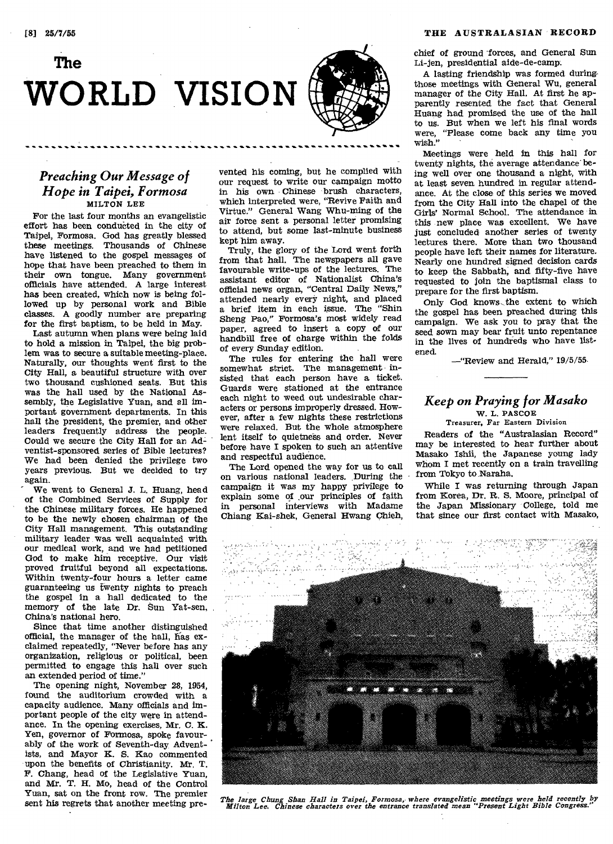# **The WORLD VISION**

## *Preaching Our Message of Hope in Taipei, Formosa*  MILTON LEE

For the last four months an evangelistic effort has been conducted in the city of Taipei, Formosa. God has greatly blessed these meetings. Thousands of Chinese have listened to the gospel messages of hope that have been preached to them in their own tongue. Many government officials have attended. A large interest has been created, which now is being followed up by personal work and Bible classes. A goodly number are preparing for the first baptism, to be held in May.

Last autumn when plans were being laid to hold a mission in Taipei, the big problem was to secure a suitable meeting-place. Naturally, our thoughts went first to the City Hall, a beautiful structure with over two thousand cushioned seats. But this was the hall used by the National Assembly, the Legislative Yuan, and all important government departments. In this hall the president, the premier, and other leaders frequently address the people. Could we secure the City Hall for an Adventist-sponsored series of Bible lectures? We had been denied the privilege two years previous. But we decided to try again.

We went to General J. L. Huang, head of the Combined Services of Supply for the Chinese military forces. He happened to be the newly chosen chairman of the City Hall management. This outstanding military leader was well acquainted with our medical work, and we had petitioned God to make him receptive. Our visit proved fruitful beyond all expectations. Within twenty-four hours a letter came guaranteeing us twenty nights to preach the gospel in a hall dedicated to the memory of the late Dr. Sun Yat-sen, China's national hero.

Since that time another distinguished official, the manager of the hall, fias exclaimed repeatedly, "Never before has any organization, religious or political, been permitted to engage this hall over such an extended period of time."

The opening night, November 28, 1954, found the auditorium crowded with a capacity audience. Many officials and important people of the city were in attendance. In the opening exercises, Mr, C. K. Yen, governor of Formosa, spoke favourably of the work of Seventh-day Adventists, and Mayor K. S. Kao commented upon the benefits of Christianity. Mr. T. F. Chang, head of the Legislative Yuan, and Mr. T. H. Mo, head of the Control Yuan, sat on the front row. The premier sent his regrets that another meeting prevented his coming, but he complied with our request to write our campaign motto in his own Chinese brush characters, which interpreted were, "Revive Faith and Virtue." General Wang Whu-ming of the air force sent a personal letter promising to attend, but some last-minute business kept him away.

Truly, the glory of the Lord went forth from that hall. The newspapers all gave favourable write-ups of the lectures. The assistant editor of Nationalist China's official news organ, "Central Daily News," attended nearly every night, and placed a brief item in each issue. The "Shin Sheng Pao," Formosa's most widely read paper, agreed to insert a copy of our handbill free of charge within the folds of every Sunday edition.

The rules for entering the hall were somewhat strict. The management insisted that each person have a ticket. Guards were stationed at the entrance each night to weed out undesirable characters or persons improperly dressed. However, after a few nights these restrictions were relaxed. But the whole atmosphere lent itself to quietness and order. Never before have I spoken to such an attentive and respectful audience.

The Lord opened the way for us to call on various national leaders. During the campaign it was my happy privilege to explain some of our principles of faith in personal interviews with Madame Chiang Kai-shek, General Hwang Chieh,

chief of ground 'forces, and General Sun Li-jen, presidential aide-de-camp.

A lasting friendship was formed duringthose meetings with General Wu, general manager of the City Hall. At first he apparently resented the fact that General Huang had promised the use of the hall to us. But when we left his final words were, "Please come back any time you wish."

Meetings were held In this hall for twenty nights, the average attendance being well over one thousand a night, with at least seven hundred in. regular attendance. At the close of this series we moved from the City Hall into the chapel of the Girls' Normal School. The attendance in this new place was excellent. We have just concluded another series of twenty lectures there. More than two thousand people have left their names for literature. Nearly one hundred signed decision cards to keep the Sabbath, and fifty-five have requested to join the baptismal class to prepare for the first baptism.

Only God knows- the extent to which the gospel has been preached during this campaign. We ask you to pray that the seed sown may bear fruit unto repentance in the lives of hundreds who have listened.

—"Review and Herald," 19/5/55

#### *Keep on Praying for Masako*  W. L. PASCOE

Treasurer, Far Eastern Division

Readers **of** the "Australasian Record" may be interested to hear further about Masako Ishii, the Japanese young lady whom I met recently on a train travelling from Tokyo to Naraha.

While I was returning through Japan from Korea, Dr. R. S. Moore, principal of the Japan Missionary College, told me that since our first contact with Masako,



*The large Chung Shan Hall in Taipei, Formosa,• where evangelistic meetings were held recently by Milton Lee. Chinese characters over the entrance translated mean "Present Light Bible Congress."*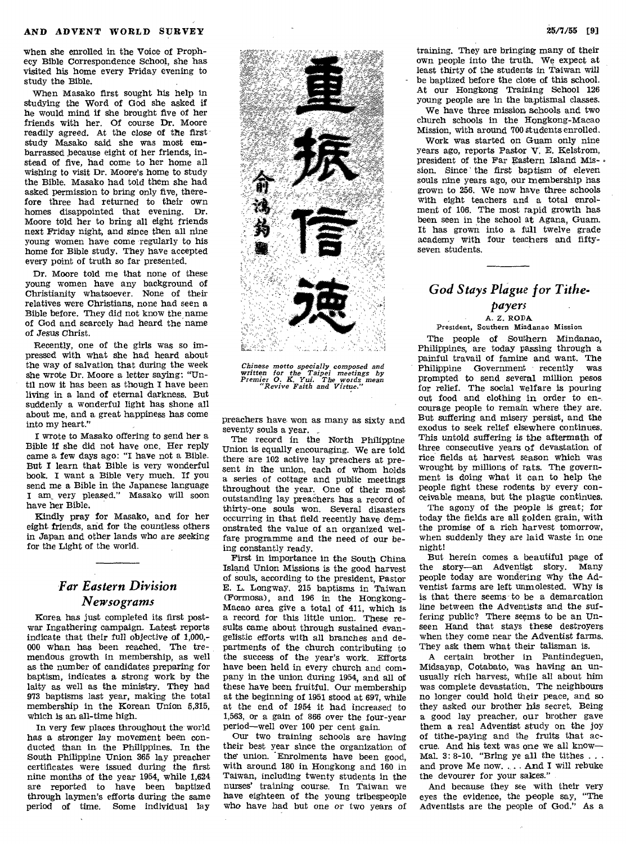when she enrolled in the Voice of Prophecy Bible Correspondence School, she has visited his home every Friday evening to study the Bible.

When Masako first sought his help in studying the Word of God she asked if he would mind if she brought five of her friends with her. Of course Dr. Moore readily agreed. At the close *of* the first study Masako said she was most embarrassed because eight of her friends, instead of five, had come to her home all wishing to visit Dr. Moore's home to study the Bible. Masako had told them she had asked permission to bring only five, therefore three had returned to their own homes disappointed that evening. Dr. Moore told her to bring all eight friends next Friday night, and since then all nine young women have come regularly to his home for Bible study. They have accepted every point of truth so far presented.

Dr. Moore told me that none of these young women have any background of Christianity whatsoever. None of their relatives were Christians, none had seen a Bible before. They did not know the name of God and scarcely had heard the name of *Jesus* Christ.

Recently, one of the girls was so impressed with what she had heard about the way of salvation that during the week she wrote Dr. Moore a letter saying: "Until now it has been as though I have been living in a land of eternal darkness. But suddenly a wonderful light has shone all about me, and a great happiness has come into my heart."

**I** wrote to Masako offering to send her a Bible if she did not have one. Her reply came a few days ago: "I have not a Bible. But **I** learn that Bible is very wonderful book. I want a Bible very much. If you send me a Bible in the Japanese language I am\_ very pleased." Masako will soon have her Bible.

Kindly pray for Masako, and for her eight friends, and for the countless others in Japan and other lands who *are seeking*  for the Light of the world.

## *Far Eastern Division Newsograms*

Korea has just completed its first postwar Ingathering campaign. Latest reports indicate that their full objective of 1,000,- 000 whan has been reached. The tremendous growth in membership, as well as the number of candidates preparing for baptism, indicates a strong work by the laity as well as the ministry. They had 973 baptisms last year, making the total membership in the Korean Union 5,315, which is an all-time high.

In very few places throughout the world has a stronger lay *movement* been conducted than in the Philippines. In the South Philippine Union 365 lay preacher certificates were issued during the first nine months of the year 1954, while 1,624 are reported to have been baptized through laymen's efforts during the same period of time. Some individual lay



*Chinese motto specially composed and written for the Taipei meetings by Premier 0. K. Yui. The words mean "Revive Faith and Virtue."* 

preachers have- won as many as sixty and seventy souls a year.

The record in the North Philippine Union is equally encouraging. We are told there are 102 active lay preachers at present in the union, each of whom holds a series of cottage and public meetings throughout the year. One of their most outstanding lay preachers has a record of thirty-one souls won. Several disasters occurring in that field recently have demonstrated the value of an organized welfare programme and the need of our being constantly ready.

First in importance in the South China Island Union Missions is the good harvest of souls, according to the president, Pastor E. L. Longway, 215 baptisms in Taiwan (Formosa), and 196 in the Hongkong-Macao area give a total of 411, which is a record for this little union. These results came about through sustained evangelistic efforts with all branches and departments of the church contributing to the success of the year's work. Efforts have been held in every church and company in the union during 1954, and all of these have been fruitful. Our membership at the beginning of 1951 stood at 697, while at the end of 1954 it had increased to 1,563, or a gain of 866 over the four-year period—well over 100 per cent gain.

Our two training schools are having their best year since the organization of the union. Enrolments have been good, with around 180 in Hongkong and 160 in Taiwan, including twenty students in the nurses' training course. In Taiwan we have eighteen of the young tribespeople who have had but one or two years of

training. They are bringing many of their own people into the truth. We expect at least thirty of the students in Taiwan will be baptized before the close of this school. At our Hongkong Training School 126 young people are in the baptismal classes.

We have three mission schools and two church schools in the Hongkong-Macao Mission, with around 700 students enrolled.

Work was started on Guam only nine years ago, reports Pastor V. E. Kelstrom, president of the Far Eastern Island Mission. Since' the first baptism of eleven souls nine years ago, our membership has grown to 256. We now have three schools with eight teachers and a total enrolment of 106. The most rapid growth has been seen in the school at Agana, Guam. It has grown into a full twelve grade academy with four teachers and fiftyseven students.

## *God Stays Plague for Tithe-*

## *payers*

A. Z. RODA

President, Southern Mindanao Mission

The people of Southern Mindanao, Philippines, are today passing through a painful travail of famine and want. The Philippine Government recently prompted to send several million pesos for relief. The social welfare is pouring out food and clothing in order to encourage people to remain where they are. But suffering and misery persist, and the exodus to seek relief elsewhere continues. This untold suffering *is* the aftermath of three consecutive years of devastation of rice fields at harvest season which was wrought by millions of rats. The government is doing what it can to help the people fight these rodents by every conceivable means, but the plague continues.

The agony of the people is great; for today the fields are all golden grain, with the promise of a rich harvest tomorrow, when suddenly they are laid waste in one night!

But herein comes a beautiful page of the story—an Adventist story. Many people today are wondering why the Adventist farms are left unmolested. Why is is that there seems to be a demarcation line between the Adventists and the *suffering* public? There seems to be an Unseen Hand that stays these destroyers when they come near the Adventist farms. They ask them what their talisman is.

A certain brother in Pantindeguen, Midsayap, Cotabato, was having an unusually rich harvest, while all about him was complete devastation. The neighbours no longer could hold their peace, and so they asked our brother his secret. Being a good lay preacher, our brother gave them a real Adventist study on the joy of tithe-paying and the fruits that accrue. And his text was one we all know— Mal. 3: 8-10. "Bring ye all the tithes . . . and prove Me now. . .. And I will rebuke the devourer for your sakes."

And because they see with their very eyes the evidence, the people say, "The Adventists are the people of God." As a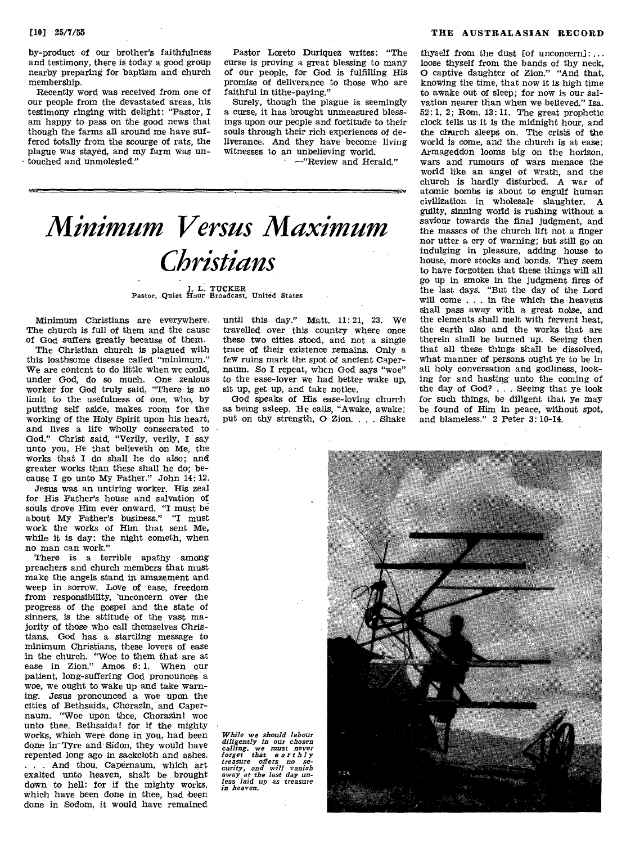by-product of our brother's faithfulness and testimony, there is today a good group nearby preparing for baptism and church membership.

Recently word was received from one of our people from the devastated areas, his testimony ringing with delight: "Pastor, I am happy to pass on the good news that though the farms all around me have suffered totally from the scourge of rats, the plague was stayed, and my farm was untouched and unmolested."

Pastor Loreto Duriquez writes: "The curse is proving a great blessing to many of our people, for God is fulfilling His promise of deliverance to those who are faithful in tithe-paying."

Surely, though the plague is seemingly a curse, it has brought unmeasured blessings upon our people and fortitude to their souls through their rich experiences of deliverance. And they have become living witnesses to an unbelieving world.

• —"Review and Herald."

# *Minimum Versus Maximum Christians*

J. L. TUCKER Pastor, Quiet Hour Broadcast, United States

Minimum Christians are everywhere. The church is full of them and the cause of God suffers greatly because of them.

The Christian church is plagued with this loathsome disease called "minimum." We are content to do little when we could, under God, do so much. One zealous worker for God truly said, "There is no limit to the usefulness of one, who, by putting self aside, makes room for the working of the Holy Spirit upon his heart, and lives a life wholly consecrated to God." Christ said, "Verily, verily, I say unto you, He that believeth on Me, the works that I do shall he do also; and greater works than these shall he do; because I go unto My Father." John 14: 12.

Jesus was an untiring worker. His zeal for His Father's house and salvation of souls drove Him ever onward. "I must be about My Father's business." "I must work the works of Him that sent Me, while it is day: the night cometh, when no man can work."

There is a terrible apathy among preachers and church members that must make the angels stand in amazement and weep in sorrow. Love of ease, freedom from responsibility, 'unconcern over the progress of the gospel and the state of sinners, is the attitude of the vast majority of those who call themselves Christians. God has a startling message to minimum Christians, these lovers of ease in the church. "Woe to them that are at ease in Zion." Amos 6:1. When our patient, long-suffering God pronounces a woe, we ought to wake up and take warning. Jesus pronounced a woe upon the cities of Bethsaida, Chorazin, and Capernaum. "Woe upon thee, Chorazin! woe unto thee, Bethsaida! for if the mighty works, which were done in you, had been done in Tyre and Sidon, they would have repented long ago in sackcloth and ashes. ... And thou, Capernaum, which art exalted unto heaven, shalt be brought down to hell: for if the mighty works, which have been done in thee, had been done in Sodom, it would have remained

until this day." Matt. 11:21, 23. We travelled over this country where once these two cities stood, and not a single trace of their existence remains. Only a few ruins mark the spot of ancient Capernaum. So I repeat, when God says "woe" to the ease-lover we had better wake up, sit up, get up, and take notice.

God speaks of His ease-loving church as being asleep. He calls, "Awake, awake; put on thy strength, 0 Zion. . . . Shake

[10] 25/7/55 THE AUSTRALASIAN RECORD

thyself from the dust [of unconcern]: ... loose thyself from the bands of thy neck, 0 captive daughter of Zion." "And that, knowing the time, that now it is high time to awake out of sleep; for now is our salvation nearer than when we believed." Isa. 52: 1, 2; Rom. 13: 11. The great prophetic, clock tells us it is the midnight hour, and the church sleeps on. The crisis of the world is come, and the church is at ease; Armageddon looms big on the horizon, wars and rumours of wars menace the world like an angel of wrath, and the church is hardly disturbed. A war of atomic bombs is about to engulf human civilization in wholesale slaughter. A guilty, sinning world is rushing without a saviour towards the final judgment, and the masses of the church lift not a finger nor utter a cry of warning; but still go on indulging in pleasure, adding house to house, more stocks and bonds. They seem to have forgotten that these things will all go up in smoke in the judgment fires of the last days. "But the day of the Lord will come . . . in the which the heavens shall pass away with a great noise, and the elements shall melt with fervent heat, the earth also and the works that are therein shall be burned up. Seeing then that all these things shall be dissolved, what manner of persons ought ye to be in all holy conversation and godliness, looking for and hasting unto the coming of the day of God? . . . Seeing that ye look for such things, be diligent that ye may be found of Him in peace, without spot, and blameless." 2 Peter 3: 10-14.

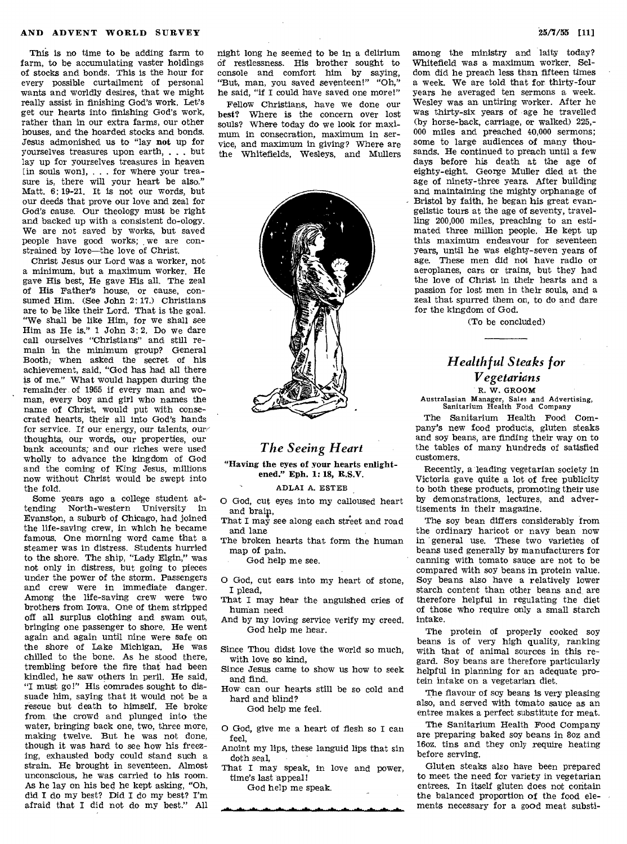This is no time to be adding farm to farm, to be accumulating vaster holdings of stocks and bonds. This is the hour for every possible curtailment of personal wants and worldly desires, that we might really assist in finishing God's work. Let's get our hearts into finishing God's work, rather than in our extra farms, our other houses, and the hoarded stocks and bonds. Jesus admonished us to "lay **not** up for yourselves treasures upon earth, . . . but lay up for yourselves treasures in heaven [in souls won], . . . for where your treasure is, there will your heart be also." Matt. 6: 19-21. It is not our words, but our deeds that prove our love and zeal for God's cause. Our theology must be right and backed up with a consistent do-ology. We are not saved by works, but saved people have good works; we are constrained by love—the love of Christ.

Christ Jesus our Lord was a worker, not a minimum, but a maximum worker. He gave His best, He gave His all. The zeal of His Father's house, or cause, consumed Him. (See John 2: 17.) Christians are to be like their Lord. That is the goal. "We shall be like Him, for we shall see Him as He is."  $1$  John  $3:2$ . Do we dare call ourselves "Christians" and still remain in the minimum group? General Booth, when asked the secret of his achievement, said, "God has had all there is of me." What would happen during the remainder. of 1955 if every man and woman, every boy and girl who names the name of Christ, would put with consecrated hearts, their all into God's hands for service. If our energy, our talents, our thoughts, our words, our properties, our bank accounts; and our riches were used wholly to advance the kingdom of God and the coming of King Jesus, millions now without Christ would be swept into the fold.

Some years ago a college student attending North-western University in Evanston, a suburb of Chicago, had joined the life-saving crew, in which he became famous. One morning word came that a steamer was in distress. Students hurried to the shore. The ship, "Lady Elgin," was not only in distress, but going to pieces under the power of the storm. Passengers and crew were in immediate danger. Among the life-saving crew were two brothers from Iowa. One of them stripped off all surplus clothing and swam out, bringing one passenger to shore. He went again and again until nine were safe on the shore of Lake Michigan. He was chilled to the bone. As he stood there, trembling before the fire that had been kindled, he saw others in peril. He said, "I must go!" His comrades sought to dissuade him, saying that it would not be a rescue but death to himself. He broke from, the crowd and plunged into the water, bringing back one, two, three more, making twelve. But he was not done, though it was hard to see how his freezing, exhausted body could stand such a strain. He brought in seventeen. Almost unconscious, he was carried to his room. As he lay on his bed he kept asking, "Oh, did I do my best? Did I do my best? I'm afraid that I did not do my best." All

night long he seemed to be in a delirium of restlessness. His brother sought to console and comfort him by saying, "But, man, you saved seventeen!" "Oh," he said, "if I could have saved one more!"

Fellow Christians, have we done our best? Where is the concern over lost souls? Where today do we look for maximum in consecration, maximum in service, and maximum in giving? Where are the Whitefields, Wesleys, and Mullers



## *The Seeing Heart*

**"Having the eyes of your hearts enlightened." Eph. 1: 18, R.S.V.** 

ADLAI A. ESTER

O God, cut eyes into my calloused heart and brain,

That I may see along each street and road and lane

The broken hearts that form the human map of pain.

God help me see.

O God, cut ears into my heart of stone, I plead,

That I may hear the anguished cries of human need

And by my loving service verify my creed. God help me hear.

Since Thou didst love the world so much, with love so kind,

Since Jesus came to show us how to seek and find.

How can our hearts still be so cold and hard and blind?

God help me feel.

O God, give me a heart of flesh so I can feel,

Anoint my lips, these languid lips that sin doth seal,

That I may speak, in love and power, time's last appeal!

God help me speak.

among the ministry and laity today? Whitefield was a maximum worker. Seldom did he preach less than fifteen times a week. We are told that for thirty-four years he averaged ten sermons a week. Wesley was an untiring worker. After he was thirty-six years of age he travelled (by horse-back, carriage, or walked) 225,- 000 miles and preached 40,000 sermons; some to large audiences of many thousands. He continued to preach until a few days before his death at the age of eighty-eight. George Muller died at the age of ninety-three years. After building and maintaining the mighty orphanage of Bristol by faith, he began his great evangelistic tours at the age of seventy, travelling 200,000 miles, preaching to an estimated three million people. He kept up this maximum endeavour for seventeen years, until he was eighty-seven years of age. These men did not have radio or aeroplanes, cars or trains, but they had the love of Christ in their hearts and a passion for lost men in their souls, and a zeal that spurred them on, to do and dare for the kingdom of God.

(To be concluded)

## *Healthful Steaks for Vegetarians*  R. W. GROOM

Australasian Manager, Sales and Advertising, Sanitarium Health Food Company

The Sanitarium Health Food Company's new food products, gluten steaks and soy beans, are finding their way on to the tables of many hundreds of satisfied customers.

Recently, a leading vegetarian society in Victoria gave quite a lot of free publicity to both these products, promoting their use by demonstrations, lectures, and advertisements in their magazine.

The soy bean differs considerably from the ordinary haricot or navy bean now in 'general use. These two varieties of beans used generally by manufacturers for canning with tomato sauce are not to be compared with soy beans in protein value. Soy beans also have a relatively lower starch content than other beans and are therefore helpful in regulating the diet of those who require only a small starch intake.

The protein of properly cooked soy beans is of very high quality, ranking with that of animal sources in this regard. Soy beans are therefore particularly helpful in planning for an adequate protein intake on a vegetarian diet.

The flavour of soy beans is very pleasing also, and served with tomato sauce as an entree makes a perfect substitute for meat.

The Sanitarium Health Food Company are preparing baked soy beans in 8oz and l6oz. tins and they only require heating before serving.

Gluten steaks also have been prepared to meet the need for variety in vegetarian entrees. In itself gluten does not contain the balanced proportion of the food elements necessary for a good meat substi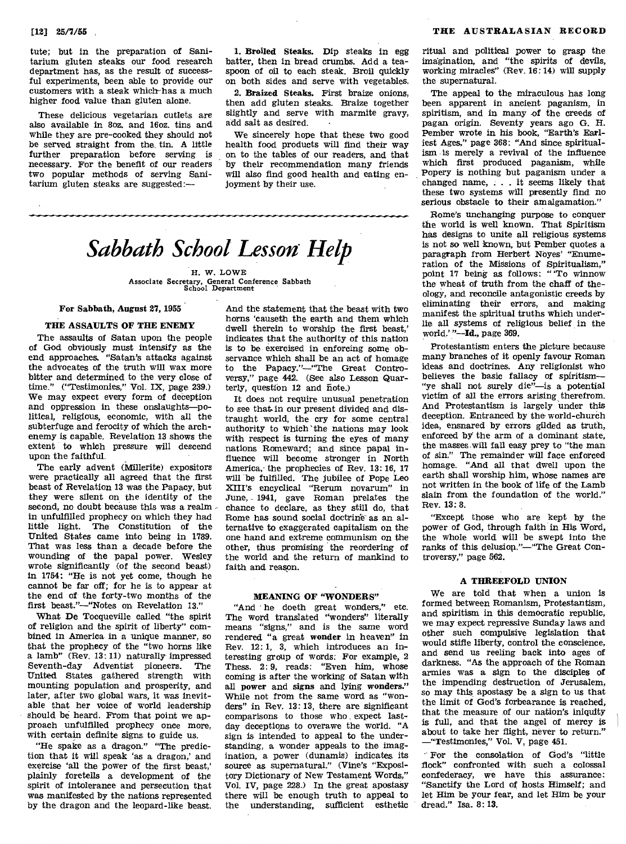tute; but in the preparation of Sanitarium gluten steaks our food research department has, as the result of successful experiments, been able to provide our customers with a steak which has a much higher food value than gluten alone.

These delicious vegetarian cutlets are also available in 8oz. and 16oz. tins and while they are pre-cooked they should not be served straight from the, tin. A little further preparation before serving is necessary. For the benefit of our readers two popular methods of serving Sanitarium gluten steaks are suggested:-

1. Broiled Steaks. Dip steaks in egg batter, then in bread crumbs. Add a teaspoon of oil to each steak. Broil quickly on both sides and serve with vegetables.

2. Braized Steaks. First braize onions, then add gluten steaks. Braize together slightly and serve with marmite gravy, add salt as desired.

We sincerely hope that these two good health food products will find their way on to the tables of our readers, and that by their recommendation many friends will also find good health and eating enjoyment by their use.

# *Sabbath School Lesson.Help*

H. W. LOWE Associate Secretary, General Conference Sabbath School Department

#### For Sabbath, August 27, 1955

#### THE ASSAULTS OF THE ENEMY

The assaults of Satan upon the people of God obviously must intensify as the end approaches. "Satan's attacks against the advocates of the truth will wax more bitter and determined to the very close of time." ("Testimonies," Vol. IX, page 239.) We may expect every form of deception and oppression in these onslaughts—political, religious, economic, with all the subterfuge and ferocity of which the archenemy is capable. Revelation 13 shows the extent to which pressure will descend upon the faithful.

The early advent (Millerite) expositors were practically all agreed that the first beast of Revelation 13 was the Papacy, but they were silent on the identity of the second, no doubt because this was a realm in unfulfilled prophecy on which they had little light. The Constitution of the United States came into being in 1789. That was less than a decade before the wounding of the papal power. Wesley wrote significantly (of the second beast) in 1754: "He is not yet come, though he cannot be far off; for he is to appear at the end of the forty-two months of the first beast."—"Notes on Revelation 13."

What De Tocqueville called "the spirit of religion and the spirit of liberty" combined in America in a unique manner, so that the prophecy of the "two horns like a lamb" (Rev. 13: 11) naturally impressed Seventh-day Adventist pioneers. The United States gathered strength with mounting population and prosperity, and later, after two global wars, it was inevitable that her voice of world leadership should be heard. From that point we approach unfulfilled prophecy once more, with certain definite signs to guide us.

"He spake as a dragon." "The prediction that it will speak 'as a dragon,' and exercise 'all the power of the first beast,' plainly foretells a development of the spirit of intolerance and persecution that was manifested by the nations represented by the dragon and the leopard-like beast. And the statement that the beast with two horns 'causeth the earth and them which dwell therein to worship the first beast,' indicates that the authority of this nation is to be exercised in enforcing some observance which shall be an act of homage to the Papacy."—"The Great Controversy," page 442. (See also Lesson Quarterly, question  $12$  and  $\bar{h}$ ote.)

It does not require unusual penetration to see that in our present divided and distraught world, the cry for some central authority to which the nations may look with respect is turning the eyes of many nations Romeward; and since papal influence will become stronger in North America, the prophecies of Rev. 13: 16, 17 will be fulfilled. The jubilee of Pope Leo XIII's encyclical "Rerum novarum" in June, - 1941, gave Roman prelates the chance to declare, as they still do, that Rome has sound social doctrine as an alternative to exaggerated capitalism on the one hand and extreme communism on the other, thus promising the reordering of the world and the return of mankind to faith and reason.

#### MEANING OF "WONDERS"

"And he doeth great wonders," etc. The word translated "wonders" literally means "signs," and is the same word rendered "a great wonder in heaven" in Rev. 12: 1, 3, which introduces an interesting group of words: For example, 2 Thess. 2:9, reads: "Even him, whose coming is after the working of Satan with all power and signs and lying wonders." While not from the same word as "wonders" in Rev. 13: 13, there are significant comparisons to those who expect lastday deceptions to overawe the world. "A sign is intended to appeal to the understanding, a wonder appeals to the imagination, a power (dunamis) indicates its source as supernatural." (Vine's "Expository Dictionary of New Testament Words," Vol. IV, page 228.) In the great apostasy there will be enough truth to appeal to the understanding, sufficient esthetic ritual and political power to grasp the imagination, and "the spirits of devils, working miracles" (Rev. 16: 14) will supply the supernatural.

The appeal to the miraculous has long been apparent in ancient paganism, in spiritism, and in many of the creeds of pagan origin. Seventy years ago G. H. Pember wrote in his book, "Earth's Earliest Ages," page 368: "And since spiritualism is merely a revival of the influence which first produced paganism, while Popery is nothing but paganism under a changed name, . . . it seems likely that these two systems will presently find no serious obstacle to their amalgamation."

Rome's unchanging purpose to conquer the world is well known. That Spiritism has designs to unite all religious systems is not so well known, but Pember quotes a paragraph from Herbert Noyes' "Enumeration of the Missions of Spiritualism," point 17 being as follows: "To winnow the wheat of truth from the chaff of theology, and reconcile antagonistic creeds **by**  eliminating their errors, and making manifest the spiritual truths which underlie all systems of religious belief in the world.' **"—Id.,** page 369.

Protestantism enters the picture because many branches of it openly favour Roman ideas and doctrines. Any religionist who believes the basic fallacy of spiritism— "ye shall not surely die"—is a potential victim of all the errors arising therefrom. And Protestantism is largely under this deception. Entranced by the world-church idea, ensnared by errors gilded as truth, enforced by the arm of a dominant state, the masses will fall easy prey to "the man of sin." The remainder will face enforced homage. "And all that dwell upon the earth shall worship him, whose names are not written in the book of life of the Lamb slain from the foundation of the world." Rev. 13: 8.

"Except those who are kept by the power of God, through faith in His Word, the whole world will be swept into the ranks of this delusiop."—"The Great Controversy," page 562.

#### A THREEFOLD UNION

We are told that when a union is formed between Romanism, Protestantism, and spiritism in this democratic republic, we may expect repressive Sunday laws and other such compulsive legislation that would stifle liberty, control the conscience, and send us reeling back into ages of darkness. "As the approach of the Roman armies was a sign to the disciples of the impending destruction of Jerusalem, so may this apostasy be a sign to us that the limit of God's forbearance is reached, that the measure of our nation's iniquity is full, and that the angel of mercy is about to take her flight, never to return." —"Testimonies," Vol. V, page 451.

For the consolation of God's "little flock" confronted with such a colossal confederacy, we have this assurance: "Sanctify the Lord of hosts Himself; and let Him be your fear, and let Him be your dread." Isa. 8: 13.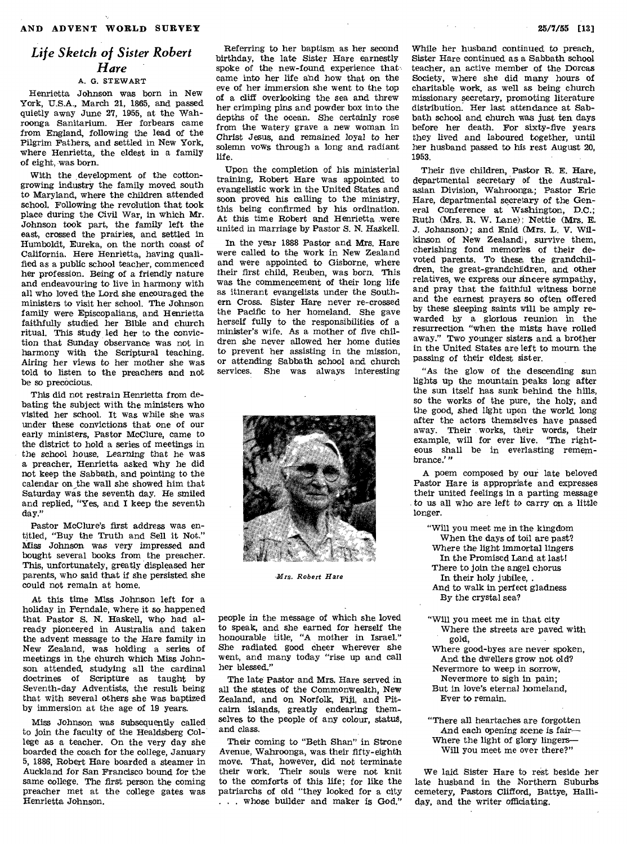## *Life Sketch of Sister Robert Hare*

### A. G. STEWART

Henrietta Johnson was born in New York, U.S.A., March 21, 1865, and passed quietly away June 27, 1955, at the Wahroonga Sanitarium. Her forbears came from England, following the lead of the Pilgrim Fathers, and settled in New York, where Henrietta, the eldest in a family of eight, was born.

With the development of the cottongrowing industry the family moved south to Maryland, where the children attended school. Following the revolution that took place during the Civil War, in which Mr. Johnson took part, the family left the east, crossed the prairies, and settled in Humboldt, Eureka, on the north coast of California. Here Henrietta, having qualified as a public school teacher, commenced her profession. Being of a friendly nature and endeavouring to live in harmony with all who loved the Lord she encouraged the ministers to visit her school. The Johnson family were Episcopalians, and Henrietta faithfully studied her Bible and church ritual. This study led her to the conviction that Sunday observance was not in harmony with the Scriptural teaching. Airing her views to her mother *she* was told to listen to the preachers and not be so precocious.

This did not restrain Henrietta from debating the subject with the ministers who visited her school. It was while she was under these convictions that one of our early ministers, Pastor McClure, came to the district to hold a series of meetings in the school house. Learning that he was a preacher, Henrietta asked why he did not keep the Sabbath, and pointing to the calendar on the wall she showed him that Saturday was the seventh day. He smiled and replied, "Yes, and I keep the seventh day."

Pastor McClure's first address was entitled, "Buy the Truth and Sell it Not." *Miss* Johnson was very *impressed* and bought several books from the preacher. This, unfortunately, greatly displeased her parents, who said that if she persisted she could not remain at home.

At this time Miss Johnson left for a holiday in Ferndale, where it so happened that Pastor S. N. Haskell, who had already pioneered in Australia and taken the advent message to the Hare family in New Zealand, was holding a series of meetings in the church which Miss Johnson attended, studying all the cardinal doctrines of Scripture as taught by Seventh-day Adventists, the result being that with several others she was baptized by immersion at the age of 19 years.

Miss Johnson was subsequently called to join the faculty of the Healdsberg College as a teacher. On the very day she boarded the coach for the college, January 5, 1886, Robert Hare boarded a steamer in Auckland for San Francisco bound for the same college. The first person the coming preacher met at the college gates was Henrietta Johnson.

Referring to her baptism as her second birthday, the late Sister Hare earnestly spoke of the new-found experience that came into her life and how that on the eve of her immersion she went to the top of a cliff overlooking the sea and threw her crimping pins and powder box into the depths of the ocean. She certainly rose from the watery grave a new woman in Christ Jesus, and remained loyal to her solemn vows through a long and radiant life.

Upon the completion of his ministerial training, Robert Hare was appointed to evangelistic work in the United States and soon proved his calling to the ministry, this being confirmed by his ordination. At this time Robert and Henrietta were united in marriage by Pastor S. N. Haskell.

In the year 1888 Pastor and Mrs. Hare were called to the work in New Zealand and were appointed to Gisborne, where their first child, Reuben, was born. This was the commencement of their long life as itinerant evangelists under the Southern Cross. Sister Hare never re-crossed the Pacific to her homeland. She gave herself fully to the responsibilities of a minister's wife. As a mother of five children she never allowed her home duties to prevent her assisting in the mission, or attending Sabbath school and church services. She was always interesting



*-Mrs. Robert flare* 

people in the message of which she loved to speak, and she earned for herself the honourable title, "A mother in Israel." She radiated good cheer wherever she went, and many today "rise up and call her blessed."

The late Pastor and Mrs. Hare served in all the states of the Commonwealth, New Zealand, and on Norfolk, Fiji, and Pitcairn islands, greatly endearing themselves to the people of any colour, status, and class.

Their coming to "Beth Shan" in Strone Avenue, Wahroonga, was their fifty-eighth move. That, however, did not terminate their work. Their souls were not knit to the comforts of this life; for like the patriarchs of old "they looked for a city ... whose builder and maker is God."

While her husband continued to preach, Sister Hare continued as a Sabbath school teacher, an active member of the Dorcas Society, where she did many hours of charitable work, as well as being church missionary secretary, promoting literature distribution. Her last attendance at Sabbath school and church was just ten days before her death. For sixty-five years they lived and laboured together, until her husband passed to his rest August 20, 1953.

Their five children, Pastor **R.** E. Hare, departmental secretary of the Australasian Division, Wahroonga; Pastor Eric Hare, departmental secretary of the General Conference at Washington, D.C.; Ruth (Mrs. R. W. Lane); Nettie (Mrs. E. J. Johanson); and Enid (Mrs. L. V. Wilkinson of New Zealand), survive them, cherishing fond memories of their devoted parents. To these, the grandchildren, the great-grandchildren, and other relatives, we express our sincere sympathy, and pray that the faithful witness borne and the earnest prayers so often offered by these sleeping saints will be amply rewarded by a. glorious reunion in the resurrection "when the mists have rolled away." Two younger sisters and a brother in the United States are left to mourn the passing of their eldest sister.

"As the glow of the descending sun lights up the mountain peaks long after the sun itself has sunk behind the hills, so the works of the pure, the holy; and the good, shed light upon the world long after the actors themselves have passed away. Their works, their words, their example, will for ever live. The righteous shall be in everlasting remembrance.'"

A poem composed by our late beloved Pastor Hare is appropriate and expresses their united feelings in a parting message to us all who are left to carry on a little longer.

"Will you meet me in the kingdom When the days of toil are past? Where the *light* immortal lingers In the Promised Land at last! There to join the angel chorus In their holy jubilee, . And to walk in perfect gladness By the crystal sea?

"Will you meet me in that city Where the streets are paved with gold,

Where good-byes are never spoken, And the dwellers grow not old? Nevermore to weep in sorrow, Nevermore to sigh in pain; But in love's eternal homeland, Ever to remain.

"There all heartaches are forgotten And each opening scene is fair— Where the light of glory lingers— Will you meet me over there?"

We laid Sister Hare to rest beside her late husband in the Northern Suburbs cemetery, Pastors Clifford, Battye, Halliday, and the writer officiating.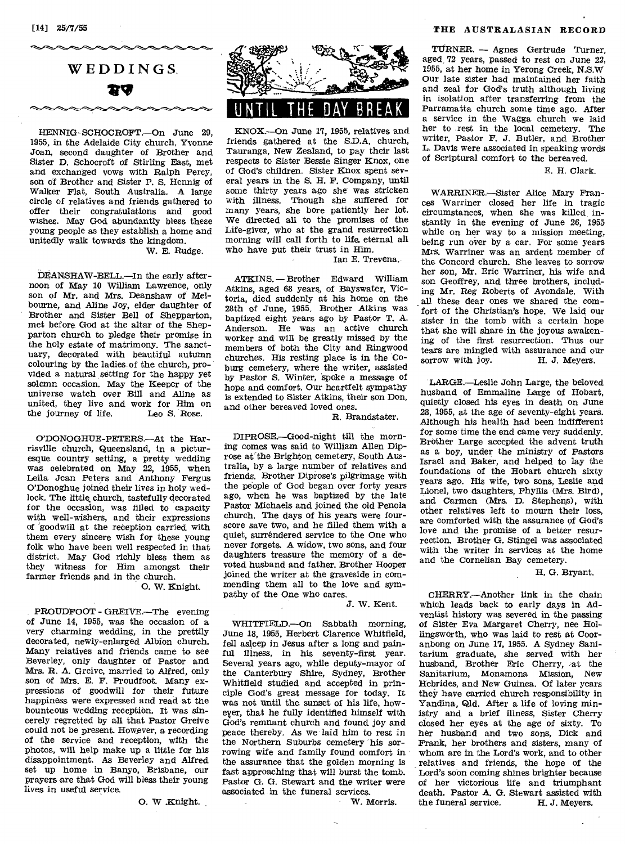HENNIG-SCHOCROFT.--On June 29, 1955, in the Adelaide City church, Yvonne Joan, second daughter of Brother and Sister D. Schocroft of Stirling East, met and exchanged vows with Ralph Percy, son of Brother and Sister P. S. Hennig of Walker Flat, South Australia. A large circle of relatives and friends gathered to offer their congratulations and good wishes. May God abundantly bless these young people as they establish a home and unitedly walk towards the kingdom.

W. E. Rudge.

DEANSHAW-BELL.-In the early afternoon of May 10 William Lawrence, only son of Mr. and Mrs. Deanshaw of Melbourne, and Aline Joy, elder daughter of Brother and Sister Bell of Shepparton, met before. God at the altar of the Shepparton church to pledge their promise in the holy estate of matrimony. The sanctuary, decorated with beautiful autumn colouring by the ladies of the church, provided a natural setting for the happy yet solemn occasion. May the Keeper of the universe watch over Bill and Aline as united, they live and work for Him on<br>the journey of life. Leo S. Rose. the journey of life.

O'DONOGHUE-PETERS.--At the Harrisville church, Queensland, in a picturesque country setting, a pretty wedding was celebrated on May 22, 1955, when Leila Jean Peters and Anthony Fergus O'Donoghue joined their lives in holy wedlock. The little, church, tastefully decorated for the occasion, was filled to capacity with well-wishers, and their expressions of 'goodwill at the reception carried with them every sincere wish for these young folk who have been well respected in that district. May God richly *bless* them as they witness for Him amongst their farmer friends and in the church.

0. W. Knight.

PROUDFOOT - GREIVE.—The evening of June 14, 1955, was the occasion of a very charming wedding, in the prettily decorated, newly-enlarged Albion church. Many relatives and friends came to see Beverley, only daughter of Pastor and Mrs. R. A. Greive, married to Alfred, only son of Mrs. E. F. Proudfoot. Many expressions of goodwill for their future happiness were expressed and read at the bounteous wedding reception. It was sincerely regretted by all that Pastor Greive could not be present. However, a recording of the service and reception, with the photos, will help make up a little for his disappointment. As Beverley and Alfred set up home in Banyo, Brisbane, our prayers are that God will bless their young lives in useful service.

0. W .Knight.



KNOX.-On June 17, 1955, relatives and friends gathered at the S.D.A. church, Tauranga, New Zealand, to pay their last respects to Sister Bessie Singer Knox, one of God's children. Sister Knox spent several years in the S. H. F. Company, until some thirty years ago she was stricken with illness. Though she suffered for many years, *she* bore patiently her lot. We directed all to the promises of the Life-giver, who at the grand resurrection morning will call forth to life. eternal all who have put their trust in Him.

Ian E. Trevena.

ATKINS. — Brother Edward William Atkins, aged 68 years, of Bayswater, Victoria, died suddenly at his home on the 28th of June, 1955. Brother Atkins was baptized eight years ago by Pastor T. A. Anderson. He was an active church worker and will be greatly missed by the members of both the City and Ringwood churches. His resting place is in the Coburg cemetery, where the writer, assisted by Pastor S. Winter, spoke a message of hope and comfort. Our heartfelt sympathy is extended to Sister Atkins, their son Don, and other bereaved loved ones.

R. Brandstater.

DIPROSE.—Good-night till the morning comes was said to William Allen Diprose at the Brighton cemetery, South Australia, by a large number of relatives and friends. Brother Diprose's pilgrimage with the people of God began over forty years ago, when he was baptized by the late Pastor Michaels and joined the old Penola church. The days of his years were fourscore save two, and he filled them with a quiet, surréndered service to the One who never forgets. A widow, two sons, and four daughters treasure the memory of a devoted husband and father. Brother Hooper joined the writer at the graveside in commending them all to the love and sympathy of the One who cares.

*J.* W. Kent.

WHITFIELD.—On Sabbath morning, June 18, 1955, Herbert Clarence Whitfield, fell asleep in Jesus after a long and painful *illness,* in his seventy-first year. Several years ago, while deputy-mayor of the Canterbury Shire, Sydney, Brother Whitfield studied and accepted in principle God's great message for today. It was not until the sunset of his life, however, that he fully identified himself with God's remnant church and found joy and peace thereby. As we laid him to rest in the Northern Suburbs cemetery his sorrowing wife and family found comfort in the assurance that the golden morning is fast approaching that will burst the tomb. Pastor G. G. Stewart and the writer were associated in the funeral services.

W. Morris.

#### [14] 25/7/55 THE AUSTRALASIAN RECORD

TURNER. — Agnes Gertrude Turner, aged, 72 years, passed to rest on June 22, 1955, at her home in Yerong Creek, N.S.W Our late sister had maintained her faith and zeal for God's truth although living in isolation after transferring from the Parramatta church some time ago. After a service in the Wagga church we laid her to rest in. the local cemetery. The writer, Pastor F. J. Butler, and Brother L. Davis were associated in speaking words of Scriptural comfort to the bereaved.

#### E. H. Clark.

WARRINER.—Sister Alice Mary Frances Warriner closed her life in tragic circumstances, when she was killed, instantly in the evening of June 26, 1955 while on her way to a mission meeting, being run over by a car. For some years Mrs. Warriner was an ardent member of the Concord church. She leaves to sorrow her son, Mr. Eric Warriner, his wife and son Geoffrey, and three brothers, including Mr. Reg Roberts of Avondale. With all these dear ones we shared the comfort of the Christian's hope. We laid our sister in the tomb with a certain hope that she will share in the joyous awakening of the first resurrection. Thus our tears are mingled with assurance and our sorrow with joy. H. J. Meyers. sorrow with joy.

LARGE.—Leslie John Large, the beloved husband of Emmaline Large of Hobart, quietly closed his eyes in death on June 28, 1955, at the age of seventy-eight years. Although his health had been indifferent for some' time the end came very suddenly. Brother Large accepted the advent truth as a boy, under the ministry of Pastors Israel and Baker, and helped to lay the foundations of the Hobart church sixty years ago. His wife, two sons, Leslie and Lionel, two daughters, Phyllis (Mrs. Bird), and Carmen (Mrs. D. Stephens), with other relatives left to mourn their loss, are comforted with the assurance of God's love and the promise of a better resurrection. Brother G. Stingel was associated with the writer in services at the home and the Cornelian Bay cemetery.

H. G. Bryant.

CHERRY.—Another link in the chain which leads back to early days in Adventist history was severed in the passing of Sister Eva Margaret Cherry, nee Hollingsworth, who was laid to rest at Cooranbong on June 17, 1955. A Sydney Sanitarium graduate, she served with her husband, Brother Eric Cherry, at the Sanitarium, Monamona Mission, New Hebrides, and New Guinea. Of later years they have carried church responsibility in Yandina, Qld. After a life of loving ministry and a brief illness, Sister Cherry closed her eyes at the age of sixty. To her husband and two sons, Dick and Frank, her brothers and sisters, many of whom are in the Lord's work, and to other relatives and friends, the hope of the Lord's soon coming shines brighter because of her victorious life and triumphant death. Pastor A. G. Stewart assisted with<br>the funeral service. H. J. Meyers. the funeral service.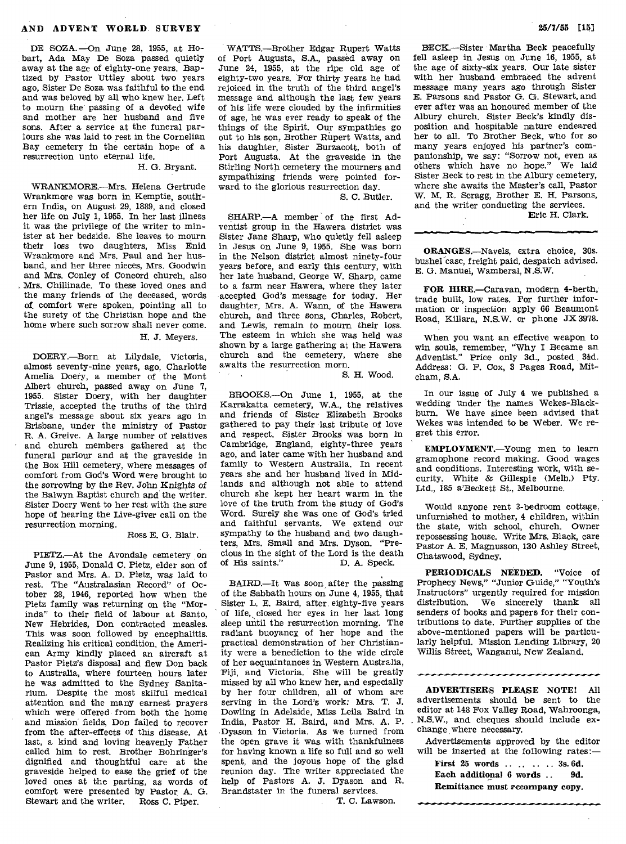DE SOZA. —On June 28, 1955, at Hobart, Ada May De Soza passed quietly away at the age of eighty-one years. Baptized by Pastor Uttley about two years ago, Sister De Soza was faithful to the end and was beloved by all who knew her. Left to mourn the passing of a devoted wife and mother are her husband and five sons. After a service at the funeral parlours she was laid to rest in the Cornelian Bay cemetery in the certain hope of a resurrection unto eternal life.

#### H. G. Bryant.

WRANKMORE.—Mrs. Helena Gertrude Wrankmore was born in Kemptie, southern India, on August 29, 1889, and closed her life on July 1, 1955. In her last illness it was the privilege of the writer to minister at her bedside. She leaves to mourn their loss two daughters, Miss Enid Wrankmore and Mrs. Paul and her husband, and her three nieces, Mrs. Goodwin and Mrs. Conley of Concord church, also Mrs. Chillinade. To these loved ones and the many friends of the deceased, words of comfort were spoken, pointing all to the surety of the Christian hope and the home where such sorrow shall never come.

## H. J. Meyers.

DOERY.—Born at Lilydale, Victoria, almost seventy-nine years, ago, Charlotte Amelia Doery, a member of the Mont Albert church, passed away on June 7, 1955. Sister Doery, with her daughter Trissie, accepted the truths of the third angel's message about six years ago in Brisbane, under the ministry of Pastor R. A. Greive. A large number of relatives and church members gathered at the funeral parlour and at the graveside in the Box Hill cemetery, where messages of comfort from God's Word were brought to the sorrowing by the Rev. John *Knights* of the Balwyn Baptist church and the writer. Sister Doery went to her rest with the sure hope of hearing the Live-giver call on the resurrection morning.

#### Ross E. G. Blair.

PIETZ.—At the Avondale cemetery on June 9, 1955, Donald C. Pietz, elder son of Pastor and Mrs. A. D. Pietz, was laid to rest. The "Australasian Record" of October 28, 1946, reported how when the Pietz family was returning on the "Morinda" to their field of labour at Santo, New Hebrides, Don contracted measles. This was soon followed by encephalitis. Realizing his critical condition, the American Army kindly placed an aircraft at Pastor Pietz's disposal and flew Don back to Australia, where fourteen hours later he was admitted to the Sydney Sanitarium. Despite the most skilful medical attention and the many earnest prayers which were offered from both the home and mission fields, Don failed to recover from the after-effects of this disease. At last, a kind and loving heavenly Father called him to rest. Brother Bohringer's dignified and thoughtful care at the graveside helped to ease the grief of the loved ones at the parting, as words of comfort were presented by Pastor A. G. Stewart and the writer. Ross C. Piper.

WATTS.—Brother Edgar Rupert Watts of Port Augusta, S.A., passed away on June 24, 1955, at the ripe old age of eighty-two years. For thirty years he had rejoiced in the truth of the third angel's message and although the last few years of his life were clouded by the infirmities of age, he was ever ready to speak of the things of the Spirit. Our sympathies go out to his son, Brother Rupert Watts, and his daughter, Sister Burzacott, both of Port Augusta. At the graveside in the Stirling North cemetery the mourners and sympathizing friends were pointed forward to the glorious resurrection day.

S. C. Butler.

SHARP.-- A member of the first Adventist group in the Hawera district was Sister Jane Sharp, who quietly fell asleep in Jesus on June 9, 1955. She was born in the Nelson district almost ninety-four years before, and early this century, with her late husband, George W. Sharp, came to a farm near Hawera, where they later accepted, God's message for today. Her daughter, Mrs. A. Wann, of the Hawera church, and three sons, Charles, Robert, and Lewis, remain to mourn their loss. The esteem in which she was held was shown by a large gathering at the Hawera church and the cemetery, where she awaits the resurrection morn.

S. H. Wood.

BROOKS.—On June 1, 1955, at the Karrakatta cemetery, W.A., the relatives and friends of Sister Elizabeth Brooks gathered to pay their last tribute of love and respect. Sister Brooks was born in Cambridge, England, eighty-three years ago, and later came with her husband and family to Western Australia. In recent years *she* and her husband lived in Midlands and although not able to attend church she kept her heart warm in the love of the truth from the study of God's Word. Surely she was one of God's tried and faithful servants. We extend our sympathy to the husband and two daughters, Mrs. Small and Mrs. Dyson. "Precious in the sight of the Lord is the death<br>of His saints." D. A. Speck. of His saints."

BAIRD.—It was soon after the passing of the Sabbath hours on June 4, 1955, that Sister L. E. Baird, after eighty-five years of life, closed her eyes in her last long sleep until the resurrection morning. The radiant buoyancy of her hope and the practical demonstration of her Christianity were a benediction to the wide circle of her acquaintances in Western Australia, Fiji, and Victoria. She will be greatly missed by all who knew her, and especially by her four children, all of whom are serving in the Lord's work: Mrs. T. J. Dowling in Adelaide, Miss Leila Baird in India, Pastor H. Baird, and Mrs. A. P. Dyason in Victoria. As we turned from the open grave it was with thankfulness for having known a life so full and so well spent, and the joyous hope of the glad reunion day. The writer appreciated the help of Pastors A. J. Dyason and R. Brandstater in the funeral services.

T. C. Lawson.

BECK.—Sister Martha Beck peacefully fell asleep in Jesus on June  $16$ ,  $1955$ , at the age of sixty-six years. Our late sister with her husband embraced the advent message many years ago through Sister E. Parsons and Pastor G. G. Stewart, and ever after was an honoured member of the Albury church. Sister Beck's kindly disposition and hospitable nature endeared her to all. To Brother Beck, who for so many years enjoyed his partner's companionship, we say: "Sorrow not, even as others which have no hope." We laid Sister Beck to rest in the Albury cemetery, where she awaits the Master's call, Pastor W. M. R. Scragg, Brother E. H. Parsons, and the writer conducting the services.

Eric H. Clark.

ORANGES.—Navels, extra choice, 30s. bushel<sup>-case</sup>, freight paid, despatch advised. E. G. Manuel, Wamberal, N.S.W.

FOR HIRE.—Caravan, modern 4-berth, trade built, low rates. For further information or inspection apply 66 Beaumont Road, Killara, N.S.W. or phone JX 3978.

When you want an effective weapon to win souls, remember, "Why I Became an Adventist." Price only 3d., posted 31d. Address: G. F. Cox, 3 Pages Road, Mitcham, S.A.

In our issue of July 4 we published a wedding under the names Wekes-Blackburn. We have since been advised that Wekes was intended to be Weber. We regret this error.

EMPLOYMENT.—Young men to learn gramophone record making. Good wages and conditions. Interesting work, with security. White & Gillespie (Melb.) Pty. Ltd., 185 a'Beckett St., Melbourne.

Would anyone rent 3-bedroom cottage, unfurnished to mother, 4 children, within the state, with school, church. Owner repossessing house. Write Mrs. Black, care Pastor A. E. Magnusson, 130 Ashley Street, Chatswood, Sydney.

PERIODICALS NEEDED. "Voice of Prophecy News," "Junior Guide," "Youth's Instructors" urgently required for mission distribution. We sincerely thank all senders of books and papers for their contributions to date. Further supplies of the above-mentioned papers will be particularly helpful. Mission Lending Library, 20 Willis Street, Wanganui, New Zealand.

ADVERTISERS PLEASE NOTE! All advertisements should be sent to the editor at 148 Fox Valley Road, Wahroonga, N.S.W., and cheques should include exchange where necessary.

Advertisements approved by the editor will be inserted at the following rates:—

First 25 words .... .. .. 3s. 6d. Each additional 6 words .. 9d. Remittance must accompany copy.